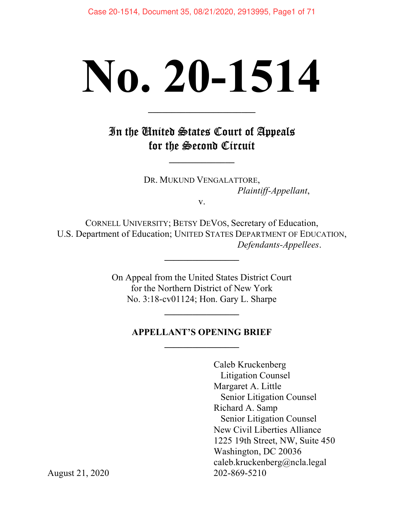# No. 20-1514

# In the United States Court of Appeals for the Second Circuit

 $\overline{\phantom{a}}$  , where  $\overline{\phantom{a}}$ 

 $\overline{\phantom{a}}$  , which is a set of the set of the set of the set of the set of the set of the set of the set of the set of the set of the set of the set of the set of the set of the set of the set of the set of the set of th

DR. MUKUND VENGALATTORE, Plaintiff-Appellant,

v.

CORNELL UNIVERSITY; BETSY DEVOS, Secretary of Education, U.S. Department of Education; UNITED STATES DEPARTMENT OF EDUCATION, Defendants-Appellees.

 $\overline{\phantom{a}}$  , where  $\overline{\phantom{a}}$ 

On Appeal from the United States District Court for the Northern District of New York No. 3:18-cv01124; Hon. Gary L. Sharpe

 $\overline{\phantom{a}}$ 

# APPELLANT'S OPENING BRIEF  $\overline{\phantom{a}}$  , where  $\overline{\phantom{a}}$

Caleb Kruckenberg Litigation Counsel Margaret A. Little Senior Litigation Counsel Richard A. Samp Senior Litigation Counsel New Civil Liberties Alliance 1225 19th Street, NW, Suite 450 Washington, DC 20036 caleb.kruckenberg@ncla.legal

August 21, 2020 202-869-5210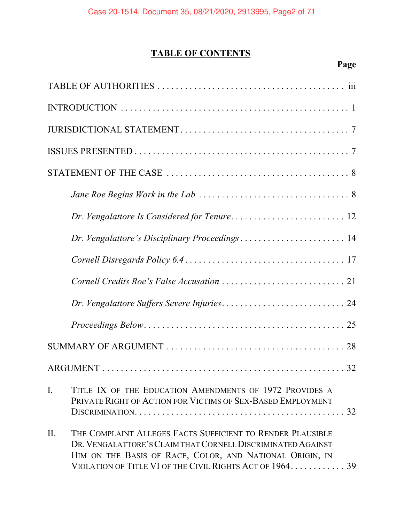# TABLE OF CONTENTS

| Dr. Vengalattore's Disciplinary Proceedings 14                                                                                                                                                                                                            |
|-----------------------------------------------------------------------------------------------------------------------------------------------------------------------------------------------------------------------------------------------------------|
|                                                                                                                                                                                                                                                           |
|                                                                                                                                                                                                                                                           |
|                                                                                                                                                                                                                                                           |
|                                                                                                                                                                                                                                                           |
|                                                                                                                                                                                                                                                           |
|                                                                                                                                                                                                                                                           |
| $\mathbf{I}$ .<br>TITLE IX OF THE EDUCATION AMENDMENTS OF 1972 PROVIDES A<br>PRIVATE RIGHT OF ACTION FOR VICTIMS OF SEX-BASED EMPLOYMENT<br>32                                                                                                            |
| II.<br>THE COMPLAINT ALLEGES FACTS SUFFICIENT TO RENDER PLAUSIBLE<br>DR. VENGALATTORE'S CLAIM THAT CORNELL DISCRIMINATED AGAINST<br>HIM ON THE BASIS OF RACE, COLOR, AND NATIONAL ORIGIN, IN<br>VIOLATION OF TITLE VI OF THE CIVIL RIGHTS ACT OF 1964. 39 |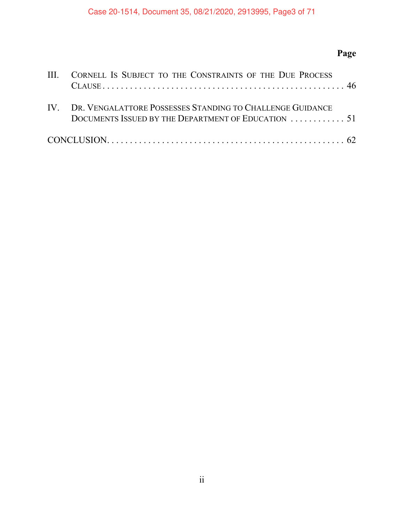# Page

| III. CORNELL IS SUBJECT TO THE CONSTRAINTS OF THE DUE PROCESS                                                        |
|----------------------------------------------------------------------------------------------------------------------|
| IV. DR. VENGALATTORE POSSESSES STANDING TO CHALLENGE GUIDANCE<br>DOCUMENTS ISSUED BY THE DEPARTMENT OF EDUCATION  51 |
|                                                                                                                      |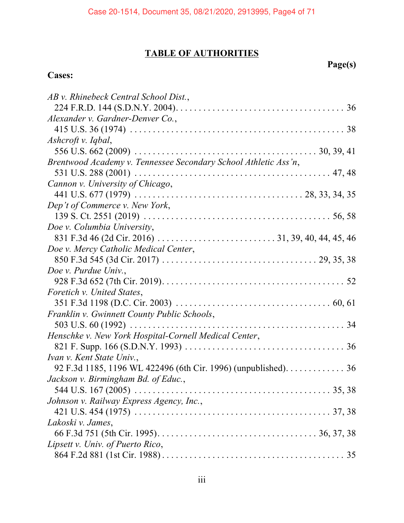# TABLE OF AUTHORITIES

# Page(s)

# Cases:

| AB v. Rhinebeck Central School Dist.,                           |  |
|-----------------------------------------------------------------|--|
|                                                                 |  |
| Alexander v. Gardner-Denver Co.,                                |  |
|                                                                 |  |
| Ashcroft v. Iqbal,                                              |  |
|                                                                 |  |
| Brentwood Academy v. Tennessee Secondary School Athletic Ass'n, |  |
|                                                                 |  |
| Cannon v. University of Chicago,                                |  |
|                                                                 |  |
| Dep't of Commerce v. New York,                                  |  |
|                                                                 |  |
| Doe v. Columbia University,                                     |  |
|                                                                 |  |
| Doe v. Mercy Catholic Medical Center,                           |  |
|                                                                 |  |
| Doe v. Purdue Univ.,                                            |  |
|                                                                 |  |
| Foretich v. United States,                                      |  |
|                                                                 |  |
| Franklin v. Gwinnett County Public Schools,                     |  |
|                                                                 |  |
| Henschke v. New York Hospital-Cornell Medical Center,           |  |
|                                                                 |  |
| Ivan v. Kent State Univ.,                                       |  |
| 92 F.3d 1185, 1196 WL 422496 (6th Cir. 1996) (unpublished). 36  |  |
| Jackson v. Birmingham Bd. of Educ.,                             |  |
|                                                                 |  |
| Johnson v. Railway Express Agency, Inc.,                        |  |
|                                                                 |  |
| Lakoski v. James,                                               |  |
|                                                                 |  |
| Lipsett v. Univ. of Puerto Rico,                                |  |
|                                                                 |  |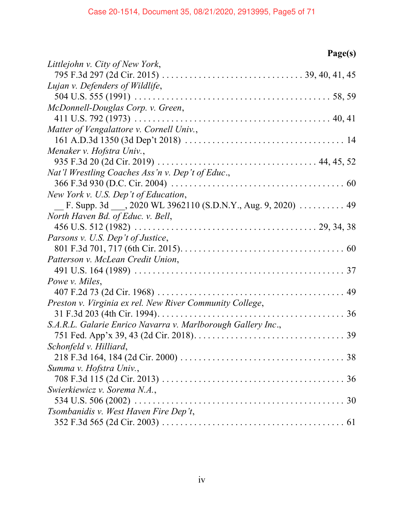| Page(s)                                                      |
|--------------------------------------------------------------|
| Littlejohn v. City of New York,                              |
|                                                              |
| Lujan v. Defenders of Wildlife,                              |
|                                                              |
| McDonnell-Douglas Corp. v. Green,                            |
|                                                              |
| Matter of Vengalattore v. Cornell Univ.,                     |
|                                                              |
| Menaker v. Hofstra Univ.,                                    |
|                                                              |
| Nat'l Wrestling Coaches Ass'n v. Dep't of Educ.,             |
|                                                              |
| New York v. U.S. Dep't of Education,                         |
| F. Supp. 3d , 2020 WL 3962110 (S.D.N.Y., Aug. 9, 2020)  49   |
| North Haven Bd. of Educ. v. Bell,                            |
|                                                              |
| Parsons v. U.S. Dep't of Justice,                            |
|                                                              |
| Patterson v. McLean Credit Union,                            |
|                                                              |
| Powe v. Miles,                                               |
|                                                              |
| Preston v. Virginia ex rel. New River Community College,     |
|                                                              |
| S.A.R.L. Galarie Enrico Navarra v. Marlborough Gallery Inc., |
|                                                              |
| Schonfeld v. Hilliard,                                       |
|                                                              |
| Summa v. Hofstra Univ.,                                      |
|                                                              |
| Swierkiewicz v. Sorema N.A.,                                 |
|                                                              |
| Tsombanidis v. West Haven Fire Dep't,                        |
|                                                              |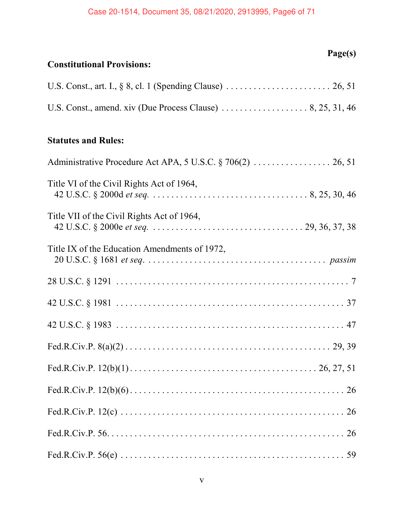| Page(s)<br><b>Constitutional Provisions:</b>  |
|-----------------------------------------------|
|                                               |
|                                               |
| <b>Statutes and Rules:</b>                    |
|                                               |
| Title VI of the Civil Rights Act of 1964,     |
| Title VII of the Civil Rights Act of 1964,    |
| Title IX of the Education Amendments of 1972, |
|                                               |
|                                               |
|                                               |
|                                               |
|                                               |
|                                               |
|                                               |
|                                               |
|                                               |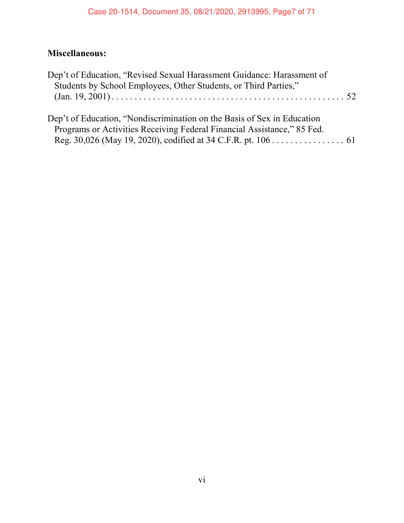# Miscellaneous:

| Dep't of Education, "Revised Sexual Harassment Guidance: Harassment of  |  |
|-------------------------------------------------------------------------|--|
| Students by School Employees, Other Students, or Third Parties,"        |  |
|                                                                         |  |
|                                                                         |  |
| Dep't of Education, "Nondiscrimination on the Basis of Sex in Education |  |
| Programs or Activities Receiving Federal Financial Assistance," 85 Fed. |  |
| Reg. 30,026 (May 19, 2020), codified at 34 C.F.R. pt. 106 61            |  |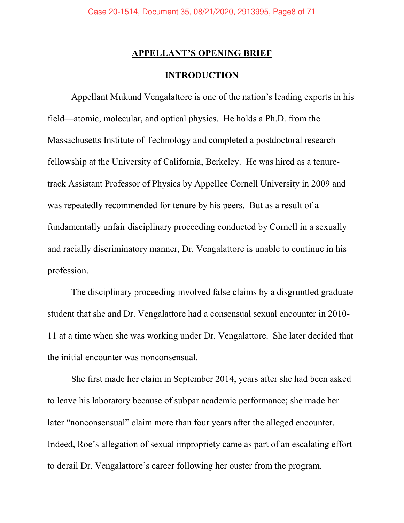# **APPELLANT'S OPENING BRIEF**

# INTRODUCTION

Appellant Mukund Vengalattore is one of the nation's leading experts in his field—atomic, molecular, and optical physics. He holds a Ph.D. from the Massachusetts Institute of Technology and completed a postdoctoral research fellowship at the University of California, Berkeley. He was hired as a tenuretrack Assistant Professor of Physics by Appellee Cornell University in 2009 and was repeatedly recommended for tenure by his peers. But as a result of a fundamentally unfair disciplinary proceeding conducted by Cornell in a sexually and racially discriminatory manner, Dr. Vengalattore is unable to continue in his profession.

The disciplinary proceeding involved false claims by a disgruntled graduate student that she and Dr. Vengalattore had a consensual sexual encounter in 2010- 11 at a time when she was working under Dr. Vengalattore. She later decided that the initial encounter was nonconsensual.

She first made her claim in September 2014, years after she had been asked to leave his laboratory because of subpar academic performance; she made her later "nonconsensual" claim more than four years after the alleged encounter. Indeed, Roe's allegation of sexual impropriety came as part of an escalating effort to derail Dr. Vengalattore's career following her ouster from the program.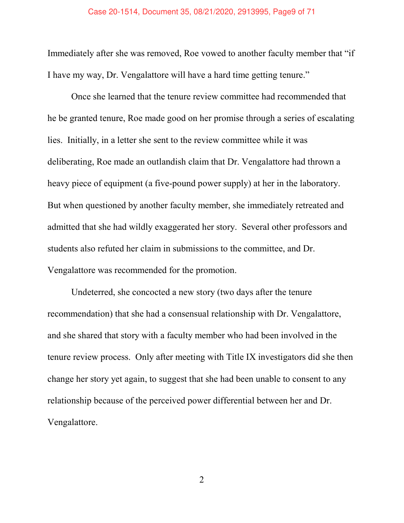#### Case 20-1514, Document 35, 08/21/2020, 2913995, Page9 of 71

Immediately after she was removed, Roe vowed to another faculty member that "if I have my way, Dr. Vengalattore will have a hard time getting tenure."

Once she learned that the tenure review committee had recommended that he be granted tenure, Roe made good on her promise through a series of escalating lies. Initially, in a letter she sent to the review committee while it was deliberating, Roe made an outlandish claim that Dr. Vengalattore had thrown a heavy piece of equipment (a five-pound power supply) at her in the laboratory. But when questioned by another faculty member, she immediately retreated and admitted that she had wildly exaggerated her story. Several other professors and students also refuted her claim in submissions to the committee, and Dr. Vengalattore was recommended for the promotion.

Undeterred, she concocted a new story (two days after the tenure recommendation) that she had a consensual relationship with Dr. Vengalattore, and she shared that story with a faculty member who had been involved in the tenure review process. Only after meeting with Title IX investigators did she then change her story yet again, to suggest that she had been unable to consent to any relationship because of the perceived power differential between her and Dr. Vengalattore.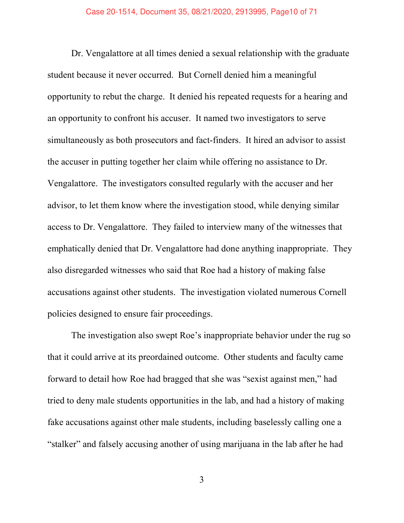Dr. Vengalattore at all times denied a sexual relationship with the graduate student because it never occurred. But Cornell denied him a meaningful opportunity to rebut the charge. It denied his repeated requests for a hearing and an opportunity to confront his accuser. It named two investigators to serve simultaneously as both prosecutors and fact-finders. It hired an advisor to assist the accuser in putting together her claim while offering no assistance to Dr. Vengalattore. The investigators consulted regularly with the accuser and her advisor, to let them know where the investigation stood, while denying similar access to Dr. Vengalattore. They failed to interview many of the witnesses that emphatically denied that Dr. Vengalattore had done anything inappropriate. They also disregarded witnesses who said that Roe had a history of making false accusations against other students. The investigation violated numerous Cornell policies designed to ensure fair proceedings.

The investigation also swept Roe's inappropriate behavior under the rug so that it could arrive at its preordained outcome. Other students and faculty came forward to detail how Roe had bragged that she was "sexist against men," had tried to deny male students opportunities in the lab, and had a history of making fake accusations against other male students, including baselessly calling one a "stalker" and falsely accusing another of using marijuana in the lab after he had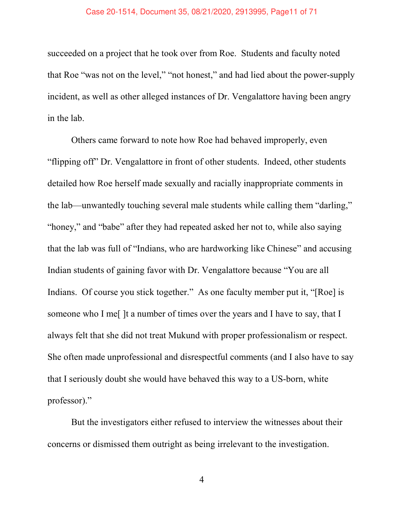## Case 20-1514, Document 35, 08/21/2020, 2913995, Page11 of 71

succeeded on a project that he took over from Roe. Students and faculty noted that Roe "was not on the level," "not honest," and had lied about the power-supply incident, as well as other alleged instances of Dr. Vengalattore having been angry in the lab.

Others came forward to note how Roe had behaved improperly, even ìflipping offî Dr. Vengalattore in front of other students. Indeed, other students detailed how Roe herself made sexually and racially inappropriate comments in the lab—unwantedly touching several male students while calling them "darling," "honey," and "babe" after they had repeated asked her not to, while also saying that the lab was full of "Indians, who are hardworking like Chinese" and accusing Indian students of gaining favor with Dr. Vengalattore because "You are all Indians. Of course you stick together." As one faculty member put it, "[Roe] is someone who I me[ ]t a number of times over the years and I have to say, that I always felt that she did not treat Mukund with proper professionalism or respect. She often made unprofessional and disrespectful comments (and I also have to say that I seriously doubt she would have behaved this way to a US-born, white professor)."

But the investigators either refused to interview the witnesses about their concerns or dismissed them outright as being irrelevant to the investigation.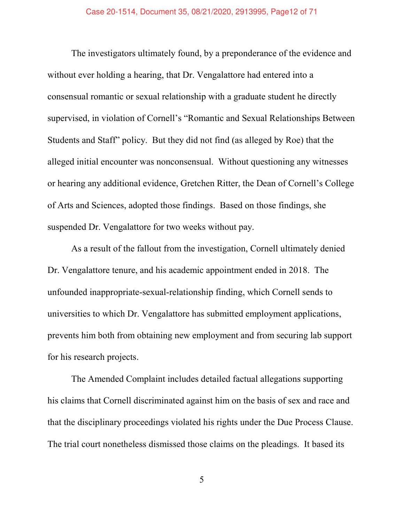The investigators ultimately found, by a preponderance of the evidence and without ever holding a hearing, that Dr. Vengalattore had entered into a consensual romantic or sexual relationship with a graduate student he directly supervised, in violation of Cornell's "Romantic and Sexual Relationships Between Students and Staff" policy. But they did not find (as alleged by Roe) that the alleged initial encounter was nonconsensual. Without questioning any witnesses or hearing any additional evidence, Gretchen Ritter, the Dean of Cornell's College of Arts and Sciences, adopted those findings. Based on those findings, she suspended Dr. Vengalattore for two weeks without pay.

As a result of the fallout from the investigation, Cornell ultimately denied Dr. Vengalattore tenure, and his academic appointment ended in 2018. The unfounded inappropriate-sexual-relationship finding, which Cornell sends to universities to which Dr. Vengalattore has submitted employment applications, prevents him both from obtaining new employment and from securing lab support for his research projects.

The Amended Complaint includes detailed factual allegations supporting his claims that Cornell discriminated against him on the basis of sex and race and that the disciplinary proceedings violated his rights under the Due Process Clause. The trial court nonetheless dismissed those claims on the pleadings. It based its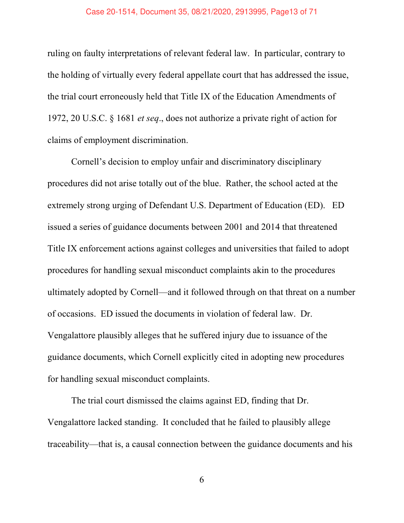## Case 20-1514, Document 35, 08/21/2020, 2913995, Page13 of 71

ruling on faulty interpretations of relevant federal law. In particular, contrary to the holding of virtually every federal appellate court that has addressed the issue, the trial court erroneously held that Title IX of the Education Amendments of 1972, 20 U.S.C. ß 1681 et seq., does not authorize a private right of action for claims of employment discrimination.

Cornell's decision to employ unfair and discriminatory disciplinary procedures did not arise totally out of the blue. Rather, the school acted at the extremely strong urging of Defendant U.S. Department of Education (ED). ED issued a series of guidance documents between 2001 and 2014 that threatened Title IX enforcement actions against colleges and universities that failed to adopt procedures for handling sexual misconduct complaints akin to the procedures ultimately adopted by Cornell—and it followed through on that threat on a number of occasions. ED issued the documents in violation of federal law. Dr. Vengalattore plausibly alleges that he suffered injury due to issuance of the guidance documents, which Cornell explicitly cited in adopting new procedures for handling sexual misconduct complaints.

The trial court dismissed the claims against ED, finding that Dr. Vengalattore lacked standing. It concluded that he failed to plausibly allege traceability—that is, a causal connection between the guidance documents and his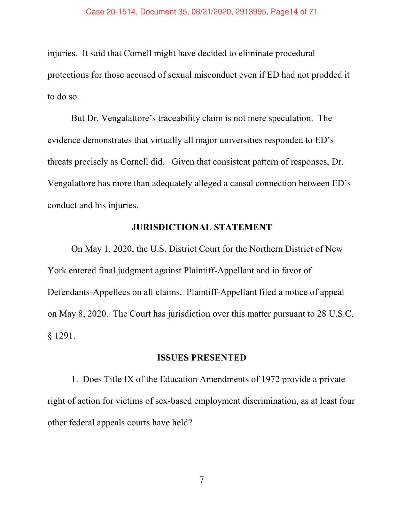injuries. It said that Cornell might have decided to eliminate procedural protections for those accused of sexual misconduct even if ED had not prodded it to do so.

But Dr. Vengalattore's traceability claim is not mere speculation. The evidence demonstrates that virtually all major universities responded to ED's threats precisely as Cornell did. Given that consistent pattern of responses, Dr. Vengalattore has more than adequately alleged a causal connection between ED's conduct and his injuries.

# JURISDICTIONAL STATEMENT

On May 1, 2020, the U.S. District Court for the Northern District of New York entered final judgment against Plaintiff-Appellant and in favor of Defendants-Appellees on all claims. Plaintiff-Appellant filed a notice of appeal on May 8, 2020. The Court has jurisdiction over this matter pursuant to 28 U.S.C. ß 1291.

# ISSUES PRESENTED

1. Does Title IX of the Education Amendments of 1972 provide a private right of action for victims of sex-based employment discrimination, as at least four other federal appeals courts have held?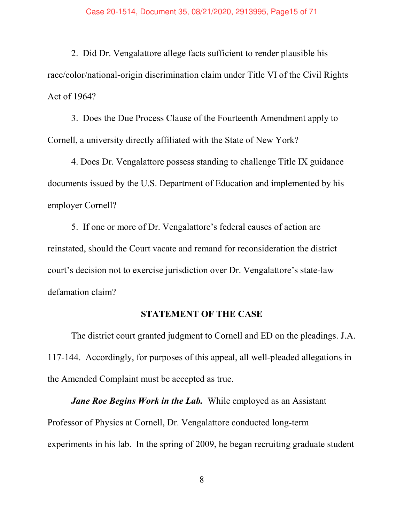2. Did Dr. Vengalattore allege facts sufficient to render plausible his race/color/national-origin discrimination claim under Title VI of the Civil Rights Act of 1964?

3. Does the Due Process Clause of the Fourteenth Amendment apply to Cornell, a university directly affiliated with the State of New York?

4. Does Dr. Vengalattore possess standing to challenge Title IX guidance documents issued by the U.S. Department of Education and implemented by his employer Cornell?

5. If one or more of Dr. Vengalattore's federal causes of action are reinstated, should the Court vacate and remand for reconsideration the district court's decision not to exercise jurisdiction over Dr. Vengalattore's state-law defamation claim?

# STATEMENT OF THE CASE

The district court granted judgment to Cornell and ED on the pleadings. J.A. 117-144. Accordingly, for purposes of this appeal, all well-pleaded allegations in the Amended Complaint must be accepted as true.

**Jane Roe Begins Work in the Lab.** While employed as an Assistant Professor of Physics at Cornell, Dr. Vengalattore conducted long-term experiments in his lab. In the spring of 2009, he began recruiting graduate student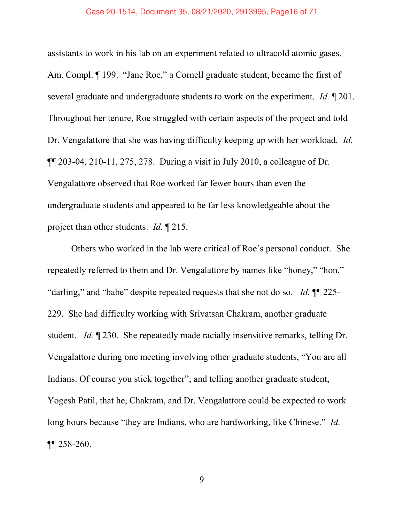#### Case 20-1514, Document 35, 08/21/2020, 2913995, Page16 of 71

assistants to work in his lab on an experiment related to ultracold atomic gases. Am. Compl. ¶ 199. "Jane Roe," a Cornell graduate student, became the first of several graduate and undergraduate students to work on the experiment. Id.  $\mathbb{I}$  201. Throughout her tenure, Roe struggled with certain aspects of the project and told Dr. Vengalattore that she was having difficulty keeping up with her workload. *Id.* ¶¶ 203-04, 210-11, 275, 278. During a visit in July 2010, a colleague of Dr. Vengalattore observed that Roe worked far fewer hours than even the undergraduate students and appeared to be far less knowledgeable about the project than other students. *Id.* 1215.

Others who worked in the lab were critical of Roe's personal conduct. She repeatedly referred to them and Dr. Vengalattore by names like "honey," "hon," "darling," and "babe" despite repeated requests that she not do so. Id.  $\P$  225-229. She had difficulty working with Srivatsan Chakram, another graduate student. *Id.* 1230. She repeatedly made racially insensitive remarks, telling Dr. Vengalattore during one meeting involving other graduate students, "You are all Indians. Of course you stick together"; and telling another graduate student, Yogesh Patil, that he, Chakram, and Dr. Vengalattore could be expected to work long hours because "they are Indians, who are hardworking, like Chinese." Id. ¶¶ 258-260.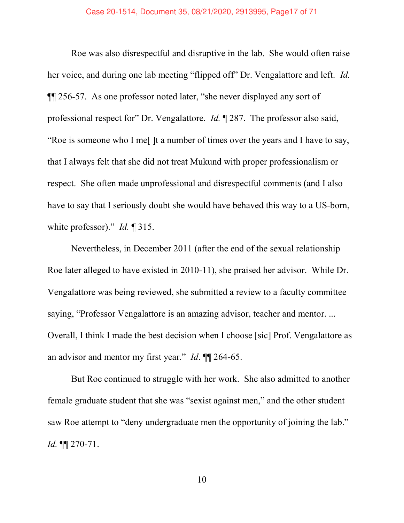Roe was also disrespectful and disruptive in the lab. She would often raise her voice, and during one lab meeting "flipped off" Dr. Vengalattore and left. Id.  $\P$ [256-57. As one professor noted later, "she never displayed any sort of professional respect for" Dr. Vengalattore. *Id.*  $\sqrt{287}$ . The professor also said, ìRoe is someone who I me[ ]t a number of times over the years and I have to say, that I always felt that she did not treat Mukund with proper professionalism or respect. She often made unprofessional and disrespectful comments (and I also have to say that I seriously doubt she would have behaved this way to a US-born, white professor)." Id.  $\P$  315.

Nevertheless, in December 2011 (after the end of the sexual relationship Roe later alleged to have existed in 2010-11), she praised her advisor. While Dr. Vengalattore was being reviewed, she submitted a review to a faculty committee saying, "Professor Vengalattore is an amazing advisor, teacher and mentor. ... Overall, I think I made the best decision when I choose [sic] Prof. Vengalattore as an advisor and mentor my first year." Id.  $\P$  264-65.

But Roe continued to struggle with her work. She also admitted to another female graduate student that she was "sexist against men," and the other student saw Roe attempt to "deny undergraduate men the opportunity of joining the lab." Id. ¶¶ 270-71.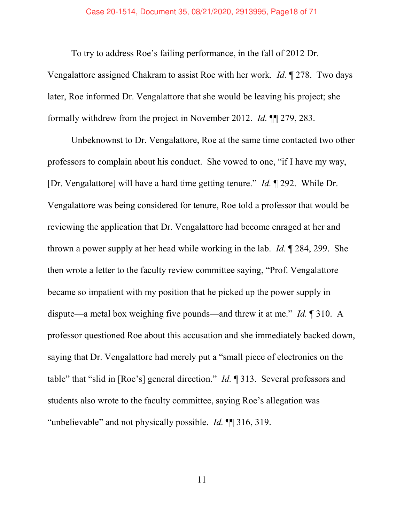## Case 20-1514, Document 35, 08/21/2020, 2913995, Page18 of 71

To try to address Roe's failing performance, in the fall of 2012 Dr.

Vengalattore assigned Chakram to assist Roe with her work. Id. ¶ 278. Two days later, Roe informed Dr. Vengalattore that she would be leaving his project; she formally withdrew from the project in November 2012. Id. ¶¶ 279, 283.

Unbeknownst to Dr. Vengalattore, Roe at the same time contacted two other professors to complain about his conduct. She vowed to one, "if I have my way, [Dr. Vengalattore] will have a hard time getting tenure." *Id.*  $\P$  292. While Dr. Vengalattore was being considered for tenure, Roe told a professor that would be reviewing the application that Dr. Vengalattore had become enraged at her and thrown a power supply at her head while working in the lab. Id. ¶ 284, 299. She then wrote a letter to the faculty review committee saying, "Prof. Vengalattore became so impatient with my position that he picked up the power supply in dispute—a metal box weighing five pounds—and threw it at me." Id.  $\parallel$  310. A professor questioned Roe about this accusation and she immediately backed down, saying that Dr. Vengalattore had merely put a "small piece of electronics on the table" that "slid in [Roe's] general direction." Id.  $\P$  313. Several professors and students also wrote to the faculty committee, saying Roe's allegation was "unbelievable" and not physically possible. Id.  $\P$  316, 319.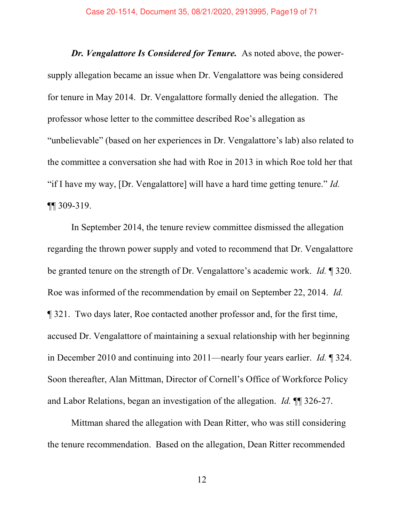Dr. Vengalattore Is Considered for Tenure. As noted above, the powersupply allegation became an issue when Dr. Vengalattore was being considered for tenure in May 2014. Dr. Vengalattore formally denied the allegation. The professor whose letter to the committee described Roe's allegation as "unbelievable" (based on her experiences in Dr. Vengalattore's lab) also related to the committee a conversation she had with Roe in 2013 in which Roe told her that "if I have my way, [Dr. Vengalattore] will have a hard time getting tenure." Id. ¶¶ 309-319.

In September 2014, the tenure review committee dismissed the allegation regarding the thrown power supply and voted to recommend that Dr. Vengalattore be granted tenure on the strength of Dr. Vengalattore's academic work. Id.  $\parallel$  320. Roe was informed of the recommendation by email on September 22, 2014. Id. ¶ 321. Two days later, Roe contacted another professor and, for the first time, accused Dr. Vengalattore of maintaining a sexual relationship with her beginning in December 2010 and continuing into 2011—nearly four years earlier. Id.  $\sqrt{\phantom{a}}324$ . Soon thereafter, Alan Mittman, Director of Cornell's Office of Workforce Policy and Labor Relations, began an investigation of the allegation. Id. ¶¶ 326-27.

Mittman shared the allegation with Dean Ritter, who was still considering the tenure recommendation. Based on the allegation, Dean Ritter recommended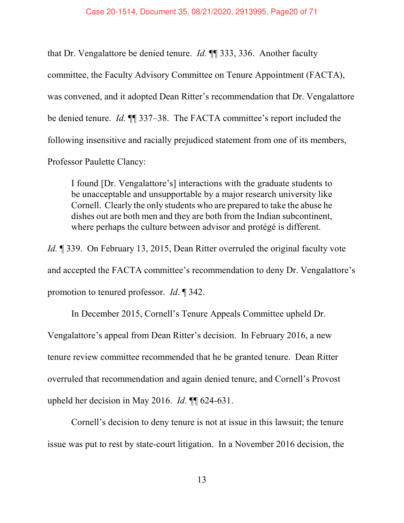that Dr. Vengalattore be denied tenure. Id. ¶¶ 333, 336. Another faculty committee, the Faculty Advisory Committee on Tenure Appointment (FACTA), was convened, and it adopted Dean Ritter's recommendation that Dr. Vengalattore be denied tenure. *Id.*  $\P$  337–38. The FACTA committee's report included the following insensitive and racially prejudiced statement from one of its members, Professor Paulette Clancy:

I found [Dr. Vengalattore's] interactions with the graduate students to be unacceptable and unsupportable by a major research university like Cornell. Clearly the only students who are prepared to take the abuse he dishes out are both men and they are both from the Indian subcontinent, where perhaps the culture between advisor and protégé is different.

Id. ¶ 339. On February 13, 2015, Dean Ritter overruled the original faculty vote and accepted the FACTA committee's recommendation to deny Dr. Vengalattore's promotion to tenured professor. Id. ¶ 342.

In December 2015, Cornell's Tenure Appeals Committee upheld Dr. Vengalattore's appeal from Dean Ritter's decision. In February 2016, a new tenure review committee recommended that he be granted tenure. Dean Ritter overruled that recommendation and again denied tenure, and Cornell's Provost upheld her decision in May 2016. Id. ¶¶ 624-631.

Cornell's decision to deny tenure is not at issue in this lawsuit; the tenure issue was put to rest by state-court litigation. In a November 2016 decision, the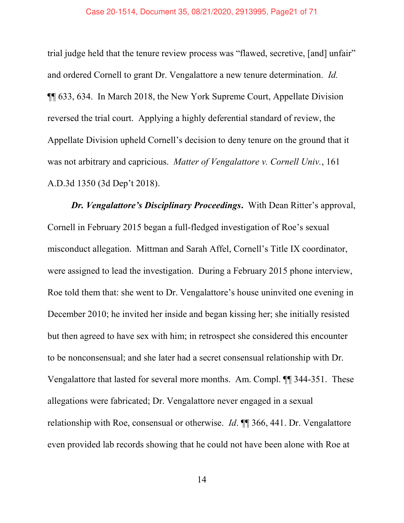trial judge held that the tenure review process was "flawed, secretive, [and] unfair" and ordered Cornell to grant Dr. Vengalattore a new tenure determination. Id. ¶¶ 633, 634. In March 2018, the New York Supreme Court, Appellate Division reversed the trial court. Applying a highly deferential standard of review, the Appellate Division upheld Cornell's decision to deny tenure on the ground that it was not arbitrary and capricious. Matter of Vengalattore v. Cornell Univ., 161 A.D.3d 1350 (3d Dep't 2018).

Dr. Vengalattore's Disciplinary Proceedings. With Dean Ritter's approval, Cornell in February 2015 began a full-fledged investigation of Roe's sexual misconduct allegation. Mittman and Sarah Affel, Cornell's Title IX coordinator, were assigned to lead the investigation. During a February 2015 phone interview, Roe told them that: she went to Dr. Vengalattore's house uninvited one evening in December 2010; he invited her inside and began kissing her; she initially resisted but then agreed to have sex with him; in retrospect she considered this encounter to be nonconsensual; and she later had a secret consensual relationship with Dr. Vengalattore that lasted for several more months. Am. Compl. ¶¶ 344-351. These allegations were fabricated; Dr. Vengalattore never engaged in a sexual relationship with Roe, consensual or otherwise. Id. ¶¶ 366, 441. Dr. Vengalattore even provided lab records showing that he could not have been alone with Roe at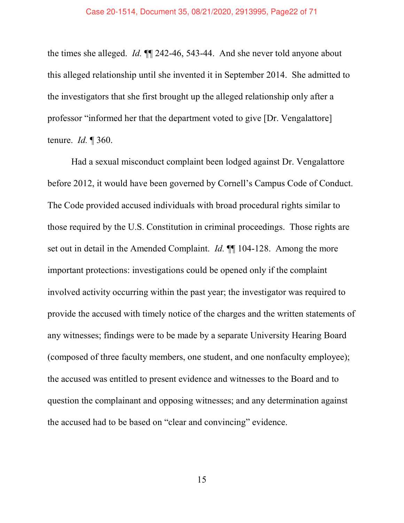the times she alleged. Id. ¶¶ 242-46, 543-44. And she never told anyone about this alleged relationship until she invented it in September 2014. She admitted to the investigators that she first brought up the alleged relationship only after a professor "informed her that the department voted to give [Dr. Vengalattore] tenure.  $Id. \P 360$ .

Had a sexual misconduct complaint been lodged against Dr. Vengalattore before 2012, it would have been governed by Cornell's Campus Code of Conduct. The Code provided accused individuals with broad procedural rights similar to those required by the U.S. Constitution in criminal proceedings. Those rights are set out in detail in the Amended Complaint. *Id.* ¶ 104-128. Among the more important protections: investigations could be opened only if the complaint involved activity occurring within the past year; the investigator was required to provide the accused with timely notice of the charges and the written statements of any witnesses; findings were to be made by a separate University Hearing Board (composed of three faculty members, one student, and one nonfaculty employee); the accused was entitled to present evidence and witnesses to the Board and to question the complainant and opposing witnesses; and any determination against the accused had to be based on "clear and convincing" evidence.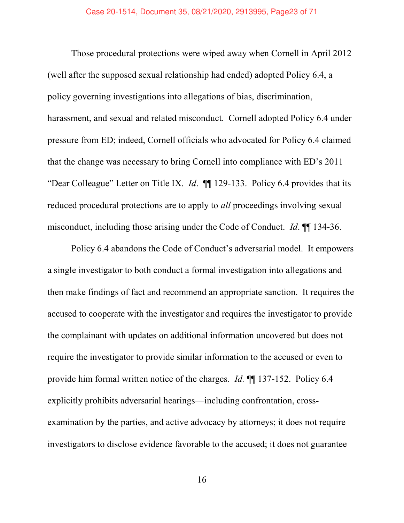Those procedural protections were wiped away when Cornell in April 2012 (well after the supposed sexual relationship had ended) adopted Policy 6.4, a policy governing investigations into allegations of bias, discrimination, harassment, and sexual and related misconduct. Cornell adopted Policy 6.4 under pressure from ED; indeed, Cornell officials who advocated for Policy 6.4 claimed that the change was necessary to bring Cornell into compliance with ED's 2011 "Dear Colleague" Letter on Title IX. *Id.*  $\P$  129-133. Policy 6.4 provides that its reduced procedural protections are to apply to *all* proceedings involving sexual misconduct, including those arising under the Code of Conduct. *Id.* ¶ 134-36.

Policy 6.4 abandons the Code of Conduct's adversarial model. It empowers a single investigator to both conduct a formal investigation into allegations and then make findings of fact and recommend an appropriate sanction. It requires the accused to cooperate with the investigator and requires the investigator to provide the complainant with updates on additional information uncovered but does not require the investigator to provide similar information to the accused or even to provide him formal written notice of the charges. Id. ¶¶ 137-152. Policy 6.4 explicitly prohibits adversarial hearings—including confrontation, crossexamination by the parties, and active advocacy by attorneys; it does not require investigators to disclose evidence favorable to the accused; it does not guarantee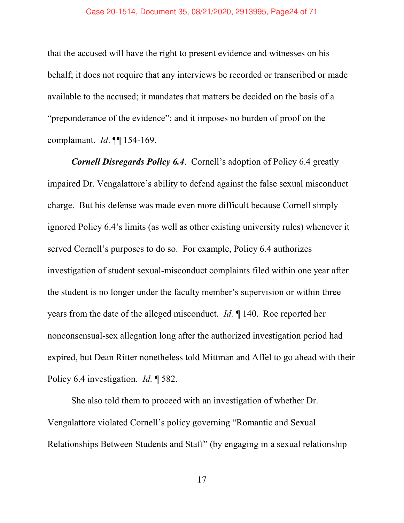that the accused will have the right to present evidence and witnesses on his behalf; it does not require that any interviews be recorded or transcribed or made available to the accused; it mandates that matters be decided on the basis of a "preponderance of the evidence"; and it imposes no burden of proof on the complainant. *Id.* ¶ 154-169.

Cornell Disregards Policy 6.4. Cornell's adoption of Policy 6.4 greatly impaired Dr. Vengalattore's ability to defend against the false sexual misconduct charge. But his defense was made even more difficult because Cornell simply ignored Policy 6.4's limits (as well as other existing university rules) whenever it served Cornell's purposes to do so. For example, Policy 6.4 authorizes investigation of student sexual-misconduct complaints filed within one year after the student is no longer under the faculty member's supervision or within three years from the date of the alleged misconduct. Id. ¶ 140. Roe reported her nonconsensual-sex allegation long after the authorized investigation period had expired, but Dean Ritter nonetheless told Mittman and Affel to go ahead with their Policy 6.4 investigation. *Id.* ¶ 582.

She also told them to proceed with an investigation of whether Dr. Vengalattore violated Cornell's policy governing "Romantic and Sexual Relationships Between Students and Staff" (by engaging in a sexual relationship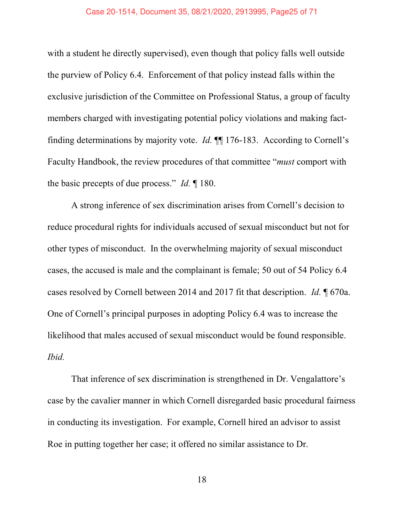#### Case 20-1514, Document 35, 08/21/2020, 2913995, Page25 of 71

with a student he directly supervised), even though that policy falls well outside the purview of Policy 6.4. Enforcement of that policy instead falls within the exclusive jurisdiction of the Committee on Professional Status, a group of faculty members charged with investigating potential policy violations and making factfinding determinations by majority vote.  $Id$ .  $\P$  176-183. According to Cornell's Faculty Handbook, the review procedures of that committee "must comport with the basic precepts of due process." Id.  $\llbracket$  180.

A strong inference of sex discrimination arises from Cornell's decision to reduce procedural rights for individuals accused of sexual misconduct but not for other types of misconduct. In the overwhelming majority of sexual misconduct cases, the accused is male and the complainant is female; 50 out of 54 Policy 6.4 cases resolved by Cornell between 2014 and 2017 fit that description. Id. ¶ 670a. One of Cornell's principal purposes in adopting Policy 6.4 was to increase the likelihood that males accused of sexual misconduct would be found responsible. Ibid.

That inference of sex discrimination is strengthened in Dr. Vengalattore's case by the cavalier manner in which Cornell disregarded basic procedural fairness in conducting its investigation. For example, Cornell hired an advisor to assist Roe in putting together her case; it offered no similar assistance to Dr.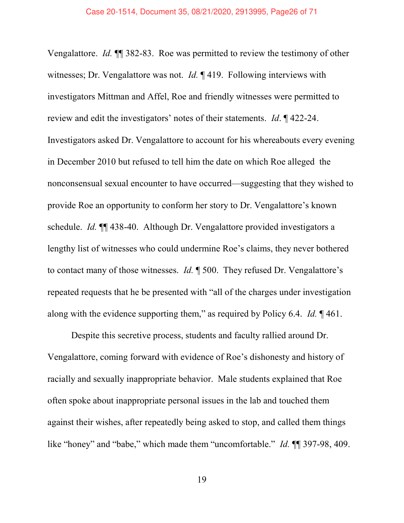Vengalattore. Id. ¶¶ 382-83. Roe was permitted to review the testimony of other witnesses; Dr. Vengalattore was not. *Id.* 1419. Following interviews with investigators Mittman and Affel, Roe and friendly witnesses were permitted to review and edit the investigators' notes of their statements. Id.  $\parallel$  422-24. Investigators asked Dr. Vengalattore to account for his whereabouts every evening in December 2010 but refused to tell him the date on which Roe alleged the nonconsensual sexual encounter to have occurred—suggesting that they wished to provide Roe an opportunity to conform her story to Dr. Vengalattore's known schedule. Id. ¶¶ 438-40. Although Dr. Vengalattore provided investigators a lengthy list of witnesses who could undermine Roe's claims, they never bothered to contact many of those witnesses. *Id.*  $\parallel$  500. They refused Dr. Vengalattore's repeated requests that he be presented with "all of the charges under investigation along with the evidence supporting them," as required by Policy 6.4. Id.  $\lceil 461 \rceil$ .

Despite this secretive process, students and faculty rallied around Dr. Vengalattore, coming forward with evidence of Roe's dishonesty and history of racially and sexually inappropriate behavior. Male students explained that Roe often spoke about inappropriate personal issues in the lab and touched them against their wishes, after repeatedly being asked to stop, and called them things like "honey" and "babe," which made them "uncomfortable." Id.  $\P$  197-98, 409.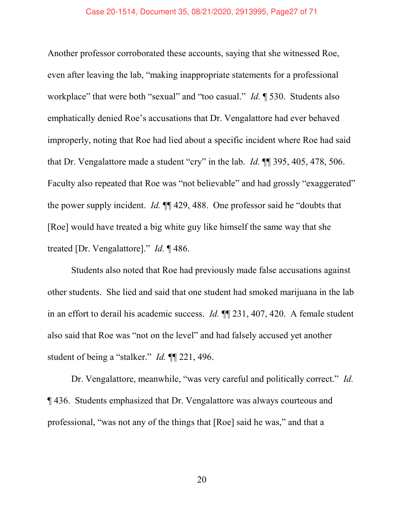#### Case 20-1514, Document 35, 08/21/2020, 2913995, Page27 of 71

Another professor corroborated these accounts, saying that she witnessed Roe, even after leaving the lab, "making inappropriate statements for a professional workplace" that were both "sexual" and "too casual." Id.  $\parallel$  530. Students also emphatically denied Roe's accusations that Dr. Vengalattore had ever behaved improperly, noting that Roe had lied about a specific incident where Roe had said that Dr. Vengalattore made a student "cry" in the lab. Id.  $\mathbb{M}$  395, 405, 478, 506. Faculty also repeated that Roe was "not believable" and had grossly "exaggerated" the power supply incident.  $Id$ .  $\P\P$  429, 488. One professor said he "doubts that [Roe] would have treated a big white guy like himself the same way that she treated [Dr. Vengalattore]." *Id.*  $\P$  486.

Students also noted that Roe had previously made false accusations against other students. She lied and said that one student had smoked marijuana in the lab in an effort to derail his academic success. Id. ¶¶ 231, 407, 420. A female student also said that Roe was "not on the level" and had falsely accused yet another student of being a "stalker." Id.  $\P$  221, 496.

Dr. Vengalattore, meanwhile, "was very careful and politically correct." Id. ¶ 436. Students emphasized that Dr. Vengalattore was always courteous and professional, "was not any of the things that [Roe] said he was," and that a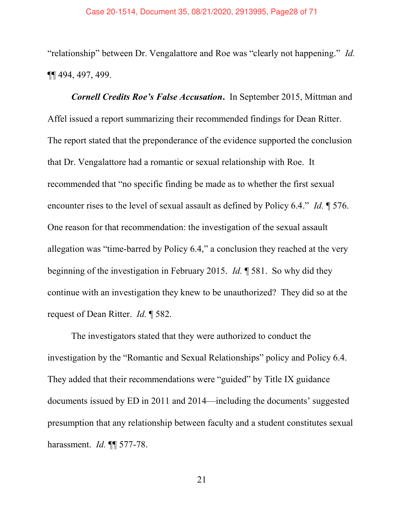"relationship" between Dr. Vengalattore and Roe was "clearly not happening." Id. ¶¶ 494, 497, 499.

Cornell Credits Roe's False Accusation. In September 2015, Mittman and Affel issued a report summarizing their recommended findings for Dean Ritter. The report stated that the preponderance of the evidence supported the conclusion that Dr. Vengalattore had a romantic or sexual relationship with Roe. It recommended that "no specific finding be made as to whether the first sexual encounter rises to the level of sexual assault as defined by Policy 6.4." Id.  $\parallel$  576. One reason for that recommendation: the investigation of the sexual assault allegation was "time-barred by Policy  $6.4$ ," a conclusion they reached at the very beginning of the investigation in February 2015. Id. ¶ 581. So why did they continue with an investigation they knew to be unauthorized? They did so at the request of Dean Ritter. Id. ¶ 582.

The investigators stated that they were authorized to conduct the investigation by the "Romantic and Sexual Relationships" policy and Policy 6.4. They added that their recommendations were "guided" by Title IX guidance documents issued by ED in 2011 and  $2014$ —including the documents' suggested presumption that any relationship between faculty and a student constitutes sexual harassment. *Id.* ¶ 577-78.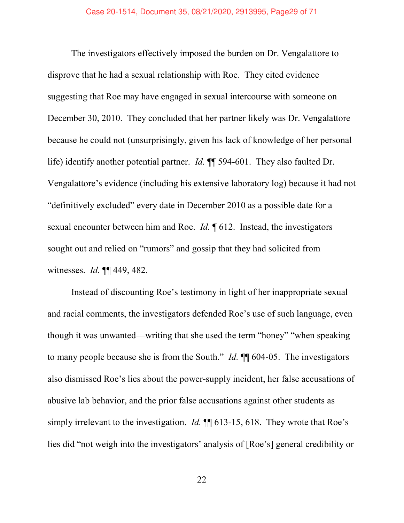The investigators effectively imposed the burden on Dr. Vengalattore to disprove that he had a sexual relationship with Roe. They cited evidence suggesting that Roe may have engaged in sexual intercourse with someone on December 30, 2010. They concluded that her partner likely was Dr. Vengalattore because he could not (unsurprisingly, given his lack of knowledge of her personal life) identify another potential partner. Id. ¶¶ 594-601. They also faulted Dr. Vengalattore's evidence (including his extensive laboratory log) because it had not "definitively excluded" every date in December 2010 as a possible date for a sexual encounter between him and Roe. *Id*. **[612. Instead, the investigators** sought out and relied on "rumors" and gossip that they had solicited from witnesses. Id. ¶¶ 449, 482.

Instead of discounting Roe's testimony in light of her inappropriate sexual and racial comments, the investigators defended Roe's use of such language, even though it was unwanted—writing that she used the term "honey" "when speaking to many people because she is from the South." Id.  $\P$  604-05. The investigators also dismissed Roe's lies about the power-supply incident, her false accusations of abusive lab behavior, and the prior false accusations against other students as simply irrelevant to the investigation. *Id.*  $\P$  613-15, 618. They wrote that Roe's lies did "not weigh into the investigators' analysis of [Roe's] general credibility or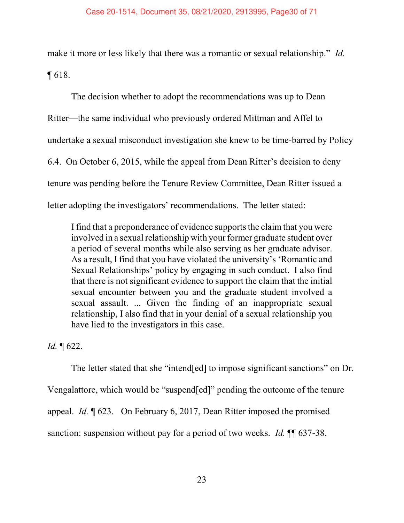make it more or less likely that there was a romantic or sexual relationship." Id. ¶ 618.

The decision whether to adopt the recommendations was up to Dean Ritter—the same individual who previously ordered Mittman and Affel to undertake a sexual misconduct investigation she knew to be time-barred by Policy 6.4. On October 6, 2015, while the appeal from Dean Ritter's decision to deny tenure was pending before the Tenure Review Committee, Dean Ritter issued a letter adopting the investigators' recommendations. The letter stated:

I find that a preponderance of evidence supports the claim that you were involved in a sexual relationship with your former graduate student over a period of several months while also serving as her graduate advisor. As a result, I find that you have violated the university's 'Romantic and Sexual Relationships' policy by engaging in such conduct. I also find that there is not significant evidence to support the claim that the initial sexual encounter between you and the graduate student involved a sexual assault. ... Given the finding of an inappropriate sexual relationship, I also find that in your denial of a sexual relationship you have lied to the investigators in this case.

Id. ¶ 622.

The letter stated that she "intend[ed] to impose significant sanctions" on Dr. Vengalattore, which would be "suspend[ed]" pending the outcome of the tenure appeal. Id. ¶ 623. On February 6, 2017, Dean Ritter imposed the promised sanction: suspension without pay for a period of two weeks. *Id.*  $\P$  637-38.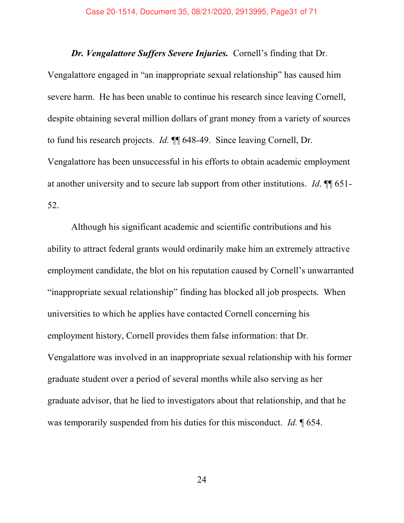Dr. Vengalattore Suffers Severe Injuries. Cornell's finding that Dr. Vengalattore engaged in "an inappropriate sexual relationship" has caused him severe harm. He has been unable to continue his research since leaving Cornell, despite obtaining several million dollars of grant money from a variety of sources to fund his research projects. Id. ¶¶ 648-49. Since leaving Cornell, Dr. Vengalattore has been unsuccessful in his efforts to obtain academic employment at another university and to secure lab support from other institutions. Id. ¶¶ 651- 52.

Although his significant academic and scientific contributions and his ability to attract federal grants would ordinarily make him an extremely attractive employment candidate, the blot on his reputation caused by Cornell's unwarranted "inappropriate sexual relationship" finding has blocked all job prospects. When universities to which he applies have contacted Cornell concerning his employment history, Cornell provides them false information: that Dr. Vengalattore was involved in an inappropriate sexual relationship with his former graduate student over a period of several months while also serving as her graduate advisor, that he lied to investigators about that relationship, and that he was temporarily suspended from his duties for this misconduct. Id. ¶ 654.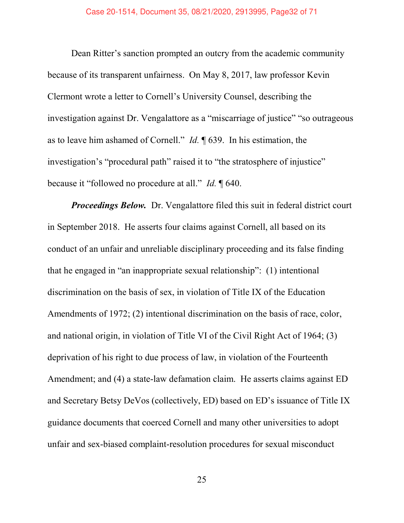Dean Ritter's sanction prompted an outcry from the academic community because of its transparent unfairness. On May 8, 2017, law professor Kevin Clermont wrote a letter to Cornell's University Counsel, describing the investigation against Dr. Vengalattore as a "miscarriage of justice" "so outrageous as to leave him ashamed of Cornell." Id.  $\parallel$  639. In his estimation, the investigation's "procedural path" raised it to "the stratosphere of injustice" because it "followed no procedure at all." Id.  $\llbracket 640$ .

**Proceedings Below.** Dr. Vengalattore filed this suit in federal district court in September 2018. He asserts four claims against Cornell, all based on its conduct of an unfair and unreliable disciplinary proceeding and its false finding that he engaged in "an inappropriate sexual relationship":  $(1)$  intentional discrimination on the basis of sex, in violation of Title IX of the Education Amendments of 1972; (2) intentional discrimination on the basis of race, color, and national origin, in violation of Title VI of the Civil Right Act of 1964; (3) deprivation of his right to due process of law, in violation of the Fourteenth Amendment; and (4) a state-law defamation claim. He asserts claims against ED and Secretary Betsy DeVos (collectively, ED) based on ED's issuance of Title IX guidance documents that coerced Cornell and many other universities to adopt unfair and sex-biased complaint-resolution procedures for sexual misconduct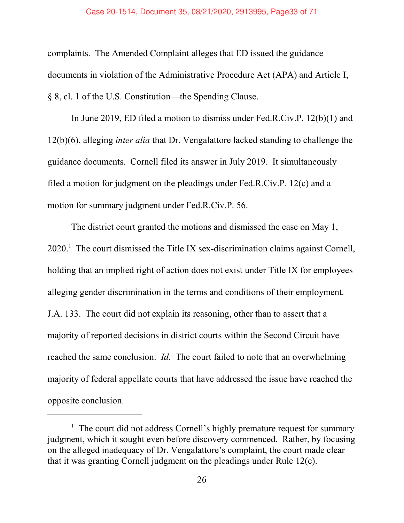complaints. The Amended Complaint alleges that ED issued the guidance documents in violation of the Administrative Procedure Act (APA) and Article I,  $§ 8$ , cl. 1 of the U.S. Constitution—the Spending Clause.

In June 2019, ED filed a motion to dismiss under Fed.R.Civ.P. 12(b)(1) and 12(b)(6), alleging inter alia that Dr. Vengalattore lacked standing to challenge the guidance documents. Cornell filed its answer in July 2019. It simultaneously filed a motion for judgment on the pleadings under Fed.R.Civ.P. 12(c) and a motion for summary judgment under Fed.R.Civ.P. 56.

The district court granted the motions and dismissed the case on May 1,  $2020$ .<sup>1</sup> The court dismissed the Title IX sex-discrimination claims against Cornell, holding that an implied right of action does not exist under Title IX for employees alleging gender discrimination in the terms and conditions of their employment. J.A. 133. The court did not explain its reasoning, other than to assert that a majority of reported decisions in district courts within the Second Circuit have reached the same conclusion. *Id*. The court failed to note that an overwhelming majority of federal appellate courts that have addressed the issue have reached the opposite conclusion.

<sup>&</sup>lt;sup>1</sup> The court did not address Cornell's highly premature request for summary judgment, which it sought even before discovery commenced. Rather, by focusing on the alleged inadequacy of Dr. Vengalattore's complaint, the court made clear that it was granting Cornell judgment on the pleadings under Rule 12(c).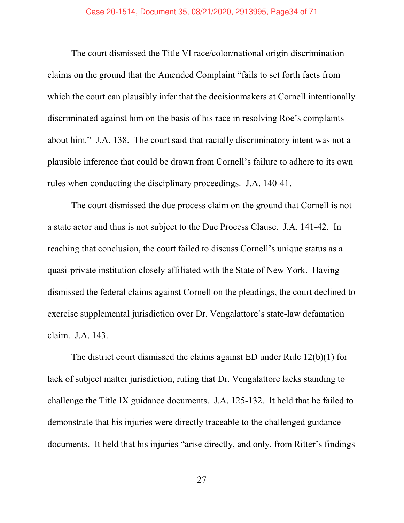The court dismissed the Title VI race/color/national origin discrimination claims on the ground that the Amended Complaint "fails to set forth facts from which the court can plausibly infer that the decisionmakers at Cornell intentionally discriminated against him on the basis of his race in resolving Roe's complaints about him." J.A. 138. The court said that racially discriminatory intent was not a plausible inference that could be drawn from Cornell's failure to adhere to its own rules when conducting the disciplinary proceedings. J.A. 140-41.

The court dismissed the due process claim on the ground that Cornell is not a state actor and thus is not subject to the Due Process Clause. J.A. 141-42. In reaching that conclusion, the court failed to discuss Cornell's unique status as a quasi-private institution closely affiliated with the State of New York. Having dismissed the federal claims against Cornell on the pleadings, the court declined to exercise supplemental jurisdiction over Dr. Vengalattore's state-law defamation claim. J.A. 143.

The district court dismissed the claims against ED under Rule 12(b)(1) for lack of subject matter jurisdiction, ruling that Dr. Vengalattore lacks standing to challenge the Title IX guidance documents. J.A. 125-132. It held that he failed to demonstrate that his injuries were directly traceable to the challenged guidance documents. It held that his injuries "arise directly, and only, from Ritter's findings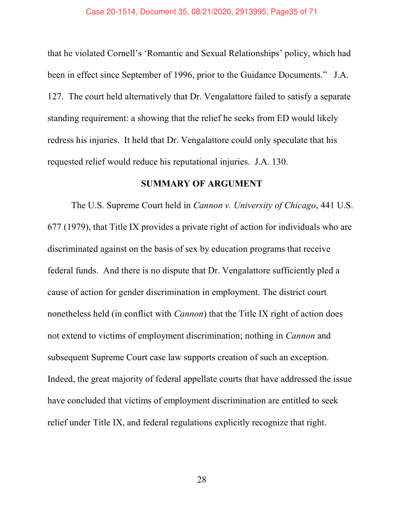that he violated Cornell's 'Romantic and Sexual Relationships' policy, which had been in effect since September of 1996, prior to the Guidance Documents." J.A. 127. The court held alternatively that Dr. Vengalattore failed to satisfy a separate standing requirement: a showing that the relief he seeks from ED would likely redress his injuries. It held that Dr. Vengalattore could only speculate that his requested relief would reduce his reputational injuries. J.A. 130.

# SUMMARY OF ARGUMENT

The U.S. Supreme Court held in Cannon v. University of Chicago, 441 U.S. 677 (1979), that Title IX provides a private right of action for individuals who are discriminated against on the basis of sex by education programs that receive federal funds. And there is no dispute that Dr. Vengalattore sufficiently pled a cause of action for gender discrimination in employment. The district court nonetheless held (in conflict with Cannon) that the Title IX right of action does not extend to victims of employment discrimination; nothing in Cannon and subsequent Supreme Court case law supports creation of such an exception. Indeed, the great majority of federal appellate courts that have addressed the issue have concluded that victims of employment discrimination are entitled to seek relief under Title IX, and federal regulations explicitly recognize that right.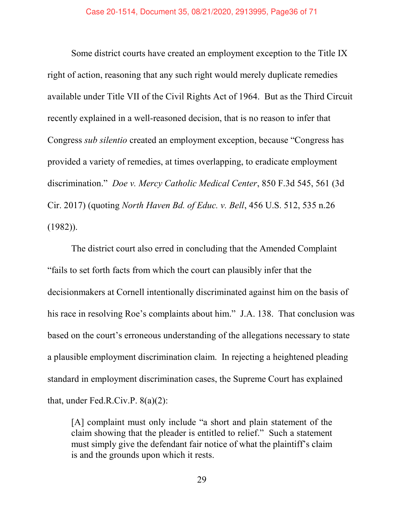Some district courts have created an employment exception to the Title IX right of action, reasoning that any such right would merely duplicate remedies available under Title VII of the Civil Rights Act of 1964. But as the Third Circuit recently explained in a well-reasoned decision, that is no reason to infer that Congress *sub silentio* created an employment exception, because "Congress has provided a variety of remedies, at times overlapping, to eradicate employment discrimination." Doe v. Mercy Catholic Medical Center, 850 F.3d 545, 561 (3d) Cir. 2017) (quoting North Haven Bd. of Educ. v. Bell, 456 U.S. 512, 535 n.26 (1982)).

The district court also erred in concluding that the Amended Complaint "fails to set forth facts from which the court can plausibly infer that the decisionmakers at Cornell intentionally discriminated against him on the basis of his race in resolving Roe's complaints about him." J.A. 138. That conclusion was based on the court's erroneous understanding of the allegations necessary to state a plausible employment discrimination claim. In rejecting a heightened pleading standard in employment discrimination cases, the Supreme Court has explained that, under Fed.R.Civ.P. 8(a)(2):

[A] complaint must only include "a short and plain statement of the claim showing that the pleader is entitled to relief." Such a statement must simply give the defendant fair notice of what the plaintiff's claim is and the grounds upon which it rests.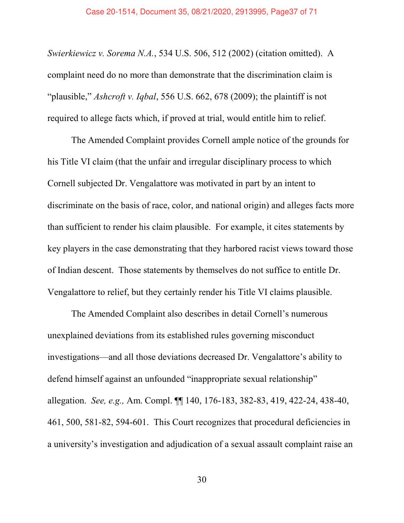#### Case 20-1514, Document 35, 08/21/2020, 2913995, Page37 of 71

Swierkiewicz v. Sorema N.A., 534 U.S. 506, 512 (2002) (citation omitted). A complaint need do no more than demonstrate that the discrimination claim is "plausible," Ashcroft v. Iqbal, 556 U.S. 662, 678 (2009); the plaintiff is not required to allege facts which, if proved at trial, would entitle him to relief.

The Amended Complaint provides Cornell ample notice of the grounds for his Title VI claim (that the unfair and irregular disciplinary process to which Cornell subjected Dr. Vengalattore was motivated in part by an intent to discriminate on the basis of race, color, and national origin) and alleges facts more than sufficient to render his claim plausible. For example, it cites statements by key players in the case demonstrating that they harbored racist views toward those of Indian descent. Those statements by themselves do not suffice to entitle Dr. Vengalattore to relief, but they certainly render his Title VI claims plausible.

The Amended Complaint also describes in detail Cornell's numerous unexplained deviations from its established rules governing misconduct investigations—and all those deviations decreased Dr. Vengalattore's ability to defend himself against an unfounded "inappropriate sexual relationship" allegation. See, e.g., Am. Compl. ¶¶ 140, 176-183, 382-83, 419, 422-24, 438-40, 461, 500, 581-82, 594-601. This Court recognizes that procedural deficiencies in a university's investigation and adjudication of a sexual assault complaint raise an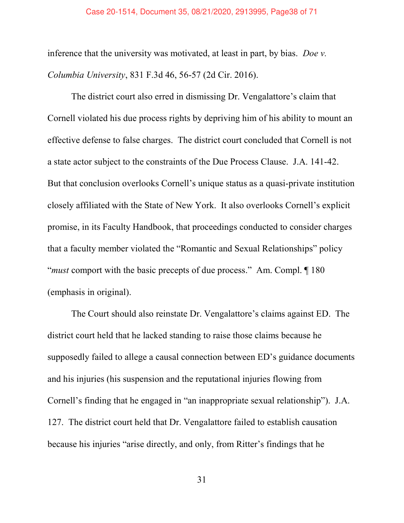inference that the university was motivated, at least in part, by bias. Doe v. Columbia University, 831 F.3d 46, 56-57 (2d Cir. 2016).

The district court also erred in dismissing Dr. Vengalattore's claim that Cornell violated his due process rights by depriving him of his ability to mount an effective defense to false charges. The district court concluded that Cornell is not a state actor subject to the constraints of the Due Process Clause. J.A. 141-42. But that conclusion overlooks Cornell's unique status as a quasi-private institution closely affiliated with the State of New York. It also overlooks Cornell's explicit promise, in its Faculty Handbook, that proceedings conducted to consider charges that a faculty member violated the "Romantic and Sexual Relationships" policy "*must* comport with the basic precepts of due process." Am. Compl.  $\P$  180 (emphasis in original).

The Court should also reinstate Dr. Vengalattore's claims against ED. The district court held that he lacked standing to raise those claims because he supposedly failed to allege a causal connection between ED's guidance documents and his injuries (his suspension and the reputational injuries flowing from Cornell's finding that he engaged in "an inappropriate sexual relationship"). J.A. 127. The district court held that Dr. Vengalattore failed to establish causation because his injuries "arise directly, and only, from Ritter's findings that he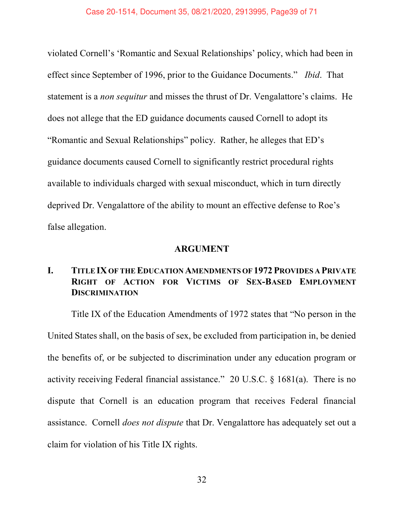violated Cornell's 'Romantic and Sexual Relationships' policy, which had been in effect since September of 1996, prior to the Guidance Documents." Ibid. That statement is a non sequitur and misses the thrust of Dr. Vengalattore's claims. He does not allege that the ED guidance documents caused Cornell to adopt its "Romantic and Sexual Relationships" policy. Rather, he alleges that ED's guidance documents caused Cornell to significantly restrict procedural rights available to individuals charged with sexual misconduct, which in turn directly deprived Dr. Vengalattore of the ability to mount an effective defense to Roe's false allegation.

# ARGUMENT

# I. TITLE IX OF THE EDUCATION AMENDMENTS OF 1972 PROVIDES A PRIVATE RIGHT OF ACTION FOR VICTIMS OF SEX-BASED EMPLOYMENT **DISCRIMINATION**

Title IX of the Education Amendments of 1972 states that "No person in the United States shall, on the basis of sex, be excluded from participation in, be denied the benefits of, or be subjected to discrimination under any education program or activity receiving Federal financial assistance." 20 U.S.C.  $\S$  1681(a). There is no dispute that Cornell is an education program that receives Federal financial assistance. Cornell does not dispute that Dr. Vengalattore has adequately set out a claim for violation of his Title IX rights.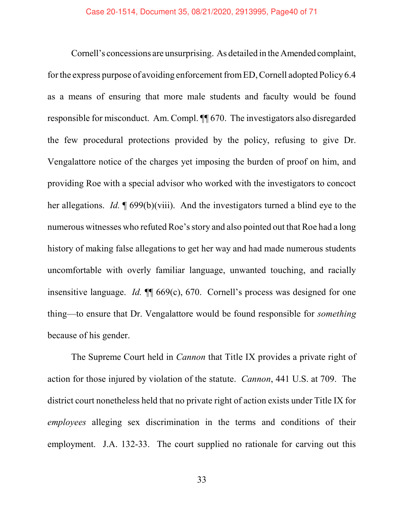Cornell's concessions are unsurprising. As detailed in the Amended complaint, for the express purpose of avoiding enforcement from ED, Cornell adopted Policy 6.4 as a means of ensuring that more male students and faculty would be found responsible for misconduct. Am. Compl. ¶¶ 670. The investigators also disregarded the few procedural protections provided by the policy, refusing to give Dr. Vengalattore notice of the charges yet imposing the burden of proof on him, and providing Roe with a special advisor who worked with the investigators to concoct her allegations. *Id.*  $\sqrt{99(b)(viii)}$ . And the investigators turned a blind eye to the numerous witnesses who refuted Roe's story and also pointed out that Roe had a long history of making false allegations to get her way and had made numerous students uncomfortable with overly familiar language, unwanted touching, and racially insensitive language. Id.  $\P$  669(c), 670. Cornell's process was designed for one thing—to ensure that Dr. Vengalattore would be found responsible for *something* because of his gender.

The Supreme Court held in Cannon that Title IX provides a private right of action for those injured by violation of the statute. Cannon, 441 U.S. at 709. The district court nonetheless held that no private right of action exists under Title IX for employees alleging sex discrimination in the terms and conditions of their employment. J.A. 132-33. The court supplied no rationale for carving out this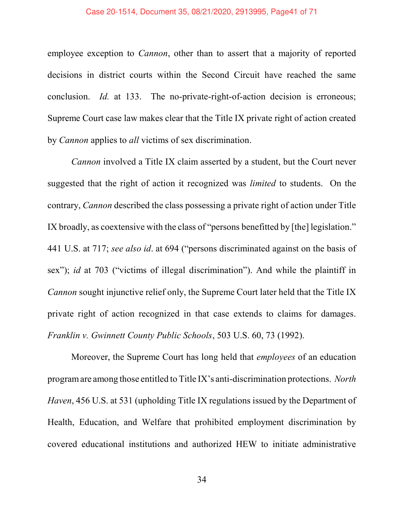employee exception to *Cannon*, other than to assert that a majority of reported decisions in district courts within the Second Circuit have reached the same conclusion. *Id.* at 133. The no-private-right-of-action decision is erroneous; Supreme Court case law makes clear that the Title IX private right of action created by *Cannon* applies to *all* victims of sex discrimination.

Cannon involved a Title IX claim asserted by a student, but the Court never suggested that the right of action it recognized was limited to students. On the contrary, Cannon described the class possessing a private right of action under Title IX broadly, as coextensive with the class of "persons benefitted by [the] legislation." 441 U.S. at 717; see also id. at 694 ("persons discriminated against on the basis of sex"); *id* at 703 ("victims of illegal discrimination"). And while the plaintiff in Cannon sought injunctive relief only, the Supreme Court later held that the Title IX private right of action recognized in that case extends to claims for damages. Franklin v. Gwinnett County Public Schools, 503 U.S. 60, 73 (1992).

Moreover, the Supreme Court has long held that employees of an education program are among those entitled to Title IX's anti-discrimination protections. North Haven, 456 U.S. at 531 (upholding Title IX regulations issued by the Department of Health, Education, and Welfare that prohibited employment discrimination by covered educational institutions and authorized HEW to initiate administrative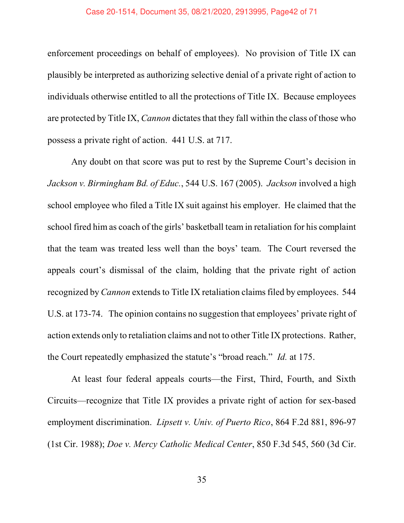#### Case 20-1514, Document 35, 08/21/2020, 2913995, Page42 of 71

enforcement proceedings on behalf of employees). No provision of Title IX can plausibly be interpreted as authorizing selective denial of a private right of action to individuals otherwise entitled to all the protections of Title IX. Because employees are protected by Title IX, *Cannon* dictates that they fall within the class of those who possess a private right of action. 441 U.S. at 717.

Any doubt on that score was put to rest by the Supreme Court's decision in Jackson v. Birmingham Bd. of Educ., 544 U.S. 167 (2005). Jackson involved a high school employee who filed a Title IX suit against his employer. He claimed that the school fired him as coach of the girls' basketball team in retaliation for his complaint that the team was treated less well than the boys' team. The Court reversed the appeals court's dismissal of the claim, holding that the private right of action recognized by Cannon extends to Title IX retaliation claims filed by employees. 544 U.S. at 173-74. The opinion contains no suggestion that employees' private right of action extends only to retaliation claims and not to other Title IX protections. Rather, the Court repeatedly emphasized the statute's "broad reach." Id. at 175.

At least four federal appeals courts—the First, Third, Fourth, and Sixth Circuits—recognize that Title IX provides a private right of action for sex-based employment discrimination. Lipsett v. Univ. of Puerto Rico, 864 F.2d 881, 896-97 (1st Cir. 1988); Doe v. Mercy Catholic Medical Center, 850 F.3d 545, 560 (3d Cir.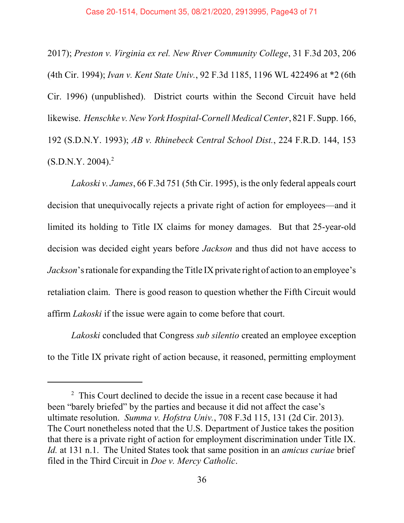2017); Preston v. Virginia ex rel. New River Community College, 31 F.3d 203, 206 (4th Cir. 1994); Ivan v. Kent State Univ., 92 F.3d 1185, 1196 WL 422496 at \*2 (6th Cir. 1996) (unpublished). District courts within the Second Circuit have held likewise. Henschke v. New York Hospital-Cornell Medical Center, 821 F. Supp. 166, 192 (S.D.N.Y. 1993); AB v. Rhinebeck Central School Dist., 224 F.R.D. 144, 153  $(S.D.N.Y. 2004).<sup>2</sup>$ 

Lakoski v. James, 66 F.3d 751 (5th Cir. 1995), is the only federal appeals court decision that unequivocally rejects a private right of action for employees—and it limited its holding to Title IX claims for money damages. But that 25-year-old decision was decided eight years before Jackson and thus did not have access to Jackson's rationale for expanding the Title IX private right of action to an employee's retaliation claim. There is good reason to question whether the Fifth Circuit would affirm Lakoski if the issue were again to come before that court.

Lakoski concluded that Congress sub silentio created an employee exception to the Title IX private right of action because, it reasoned, permitting employment

<sup>&</sup>lt;sup>2</sup> This Court declined to decide the issue in a recent case because it had been "barely briefed" by the parties and because it did not affect the case's ultimate resolution. Summa v. Hofstra Univ., 708 F.3d 115, 131 (2d Cir. 2013). The Court nonetheless noted that the U.S. Department of Justice takes the position that there is a private right of action for employment discrimination under Title IX. Id. at 131 n.1. The United States took that same position in an *amicus curiae* brief filed in the Third Circuit in Doe v. Mercy Catholic.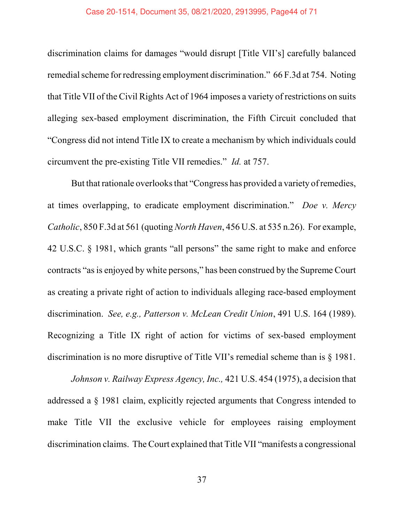#### Case 20-1514, Document 35, 08/21/2020, 2913995, Page44 of 71

discrimination claims for damages "would disrupt [Title VII's] carefully balanced remedial scheme for redressing employment discrimination." 66 F.3d at 754. Noting that Title VII of the Civil Rights Act of 1964 imposes a variety of restrictions on suits alleging sex-based employment discrimination, the Fifth Circuit concluded that ìCongress did not intend Title IX to create a mechanism by which individuals could circumvent the pre-existing Title VII remedies." Id. at 757.

But that rationale overlooks that "Congress has provided a variety of remedies, at times overlapping, to eradicate employment discrimination." Doe v. Mercy Catholic, 850 F.3d at 561 (quoting North Haven, 456 U.S. at 535 n.26). For example, 42 U.S.C.  $\S$  1981, which grants "all persons" the same right to make and enforce contracts "as is enjoyed by white persons," has been construed by the Supreme Court as creating a private right of action to individuals alleging race-based employment discrimination. See, e.g., Patterson v. McLean Credit Union, 491 U.S. 164 (1989). Recognizing a Title IX right of action for victims of sex-based employment discrimination is no more disruptive of Title VII's remedial scheme than is  $\S$  1981.

Johnson v. Railway Express Agency, Inc., 421 U.S. 454 (1975), a decision that addressed a ß 1981 claim, explicitly rejected arguments that Congress intended to make Title VII the exclusive vehicle for employees raising employment discrimination claims. The Court explained that Title VII "manifests a congressional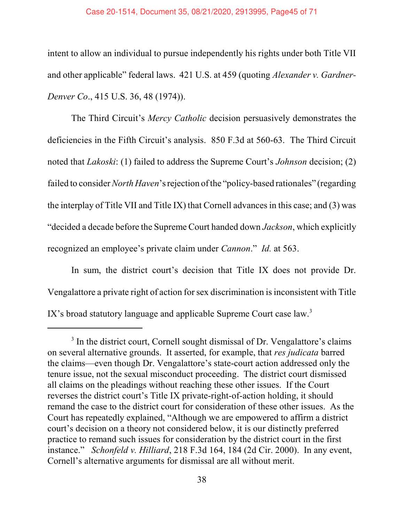## Case 20-1514, Document 35, 08/21/2020, 2913995, Page45 of 71

intent to allow an individual to pursue independently his rights under both Title VII and other applicable" federal laws.  $421$  U.S. at  $459$  (quoting *Alexander v. Gardner-*Denver Co., 415 U.S. 36, 48 (1974)).

The Third Circuit's Mercy Catholic decision persuasively demonstrates the deficiencies in the Fifth Circuit's analysis. 850 F.3d at 560-63. The Third Circuit noted that  $Lakoski$ : (1) failed to address the Supreme Court's *Johnson* decision; (2) failed to consider North Haven's rejection of the "policy-based rationales" (regarding the interplay of Title VII and Title IX) that Cornell advances in this case; and (3) was *decided a decade before the Supreme Court handed down Jackson, which explicitly* recognized an employee's private claim under Cannon." Id. at 563.

In sum, the district court's decision that Title IX does not provide Dr. Vengalattore a private right of action for sex discrimination is inconsistent with Title IX's broad statutory language and applicable Supreme Court case law. $3$ 

<sup>&</sup>lt;sup>3</sup> In the district court, Cornell sought dismissal of Dr. Vengalattore's claims on several alternative grounds. It asserted, for example, that res judicata barred the claims—even though Dr. Vengalattore's state-court action addressed only the tenure issue, not the sexual misconduct proceeding. The district court dismissed all claims on the pleadings without reaching these other issues. If the Court reverses the district court's Title IX private-right-of-action holding, it should remand the case to the district court for consideration of these other issues. As the Court has repeatedly explained, "Although we are empowered to affirm a district court's decision on a theory not considered below, it is our distinctly preferred practice to remand such issues for consideration by the district court in the first instance." Schonfeld v. Hilliard, 218 F.3d 164, 184 (2d Cir. 2000). In any event, Cornell's alternative arguments for dismissal are all without merit.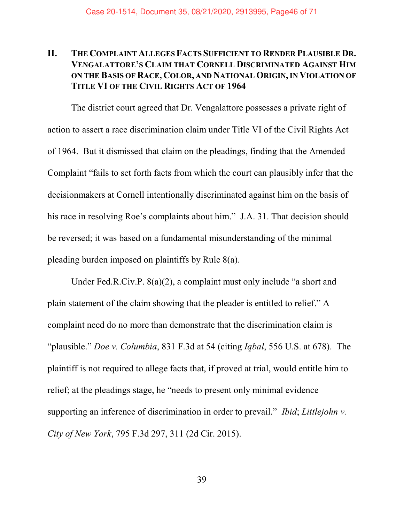# II. THE COMPLAINT ALLEGES FACTS SUFFICIENT TO RENDER PLAUSIBLE DR. VENGALATTOREíS CLAIM THAT CORNELL DISCRIMINATED AGAINST HIM ON THE BASIS OF RACE, COLOR, AND NATIONAL ORIGIN, IN VIOLATION OF TITLE VI OF THE CIVIL RIGHTS ACT OF 1964

The district court agreed that Dr. Vengalattore possesses a private right of action to assert a race discrimination claim under Title VI of the Civil Rights Act of 1964. But it dismissed that claim on the pleadings, finding that the Amended Complaint "fails to set forth facts from which the court can plausibly infer that the decisionmakers at Cornell intentionally discriminated against him on the basis of his race in resolving Roe's complaints about him." J.A. 31. That decision should be reversed; it was based on a fundamental misunderstanding of the minimal pleading burden imposed on plaintiffs by Rule 8(a).

Under Fed.R.Civ.P.  $8(a)(2)$ , a complaint must only include "a short and plain statement of the claim showing that the pleader is entitled to relief." A complaint need do no more than demonstrate that the discrimination claim is "plausible." *Doe v. Columbia*, 831 F.3d at 54 (citing *Iqbal*, 556 U.S. at 678). The plaintiff is not required to allege facts that, if proved at trial, would entitle him to relief; at the pleadings stage, he "needs to present only minimal evidence" supporting an inference of discrimination in order to prevail." *Ibid*; Littlejohn  $v$ . City of New York, 795 F.3d 297, 311 (2d Cir. 2015).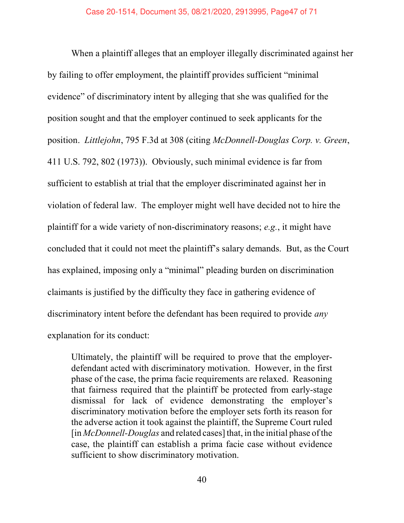When a plaintiff alleges that an employer illegally discriminated against her by failing to offer employment, the plaintiff provides sufficient "minimal" evidence" of discriminatory intent by alleging that she was qualified for the position sought and that the employer continued to seek applicants for the position. Littlejohn, 795 F.3d at 308 (citing McDonnell-Douglas Corp. v. Green, 411 U.S. 792, 802 (1973)). Obviously, such minimal evidence is far from sufficient to establish at trial that the employer discriminated against her in violation of federal law. The employer might well have decided not to hire the plaintiff for a wide variety of non-discriminatory reasons; e.g., it might have concluded that it could not meet the plaintiff's salary demands. But, as the Court has explained, imposing only a "minimal" pleading burden on discrimination claimants is justified by the difficulty they face in gathering evidence of discriminatory intent before the defendant has been required to provide *any* explanation for its conduct:

Ultimately, the plaintiff will be required to prove that the employerdefendant acted with discriminatory motivation. However, in the first phase of the case, the prima facie requirements are relaxed. Reasoning that fairness required that the plaintiff be protected from early-stage dismissal for lack of evidence demonstrating the employer's discriminatory motivation before the employer sets forth its reason for the adverse action it took against the plaintiff, the Supreme Court ruled  $\left[$  in *McDonnell-Douglas* and related cases] that, in the initial phase of the case, the plaintiff can establish a prima facie case without evidence sufficient to show discriminatory motivation.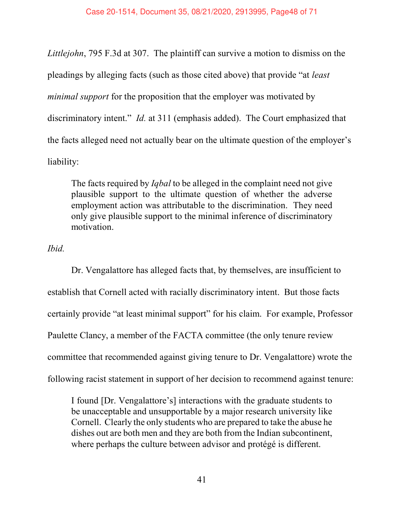Littlejohn, 795 F.3d at 307. The plaintiff can survive a motion to dismiss on the pleadings by alleging facts (such as those cited above) that provide "at *least* minimal support for the proposition that the employer was motivated by discriminatory intent." Id. at 311 (emphasis added). The Court emphasized that the facts alleged need not actually bear on the ultimate question of the employer's liability:

The facts required by *Iqbal* to be alleged in the complaint need not give plausible support to the ultimate question of whether the adverse employment action was attributable to the discrimination. They need only give plausible support to the minimal inference of discriminatory motivation.

Ibid.

Dr. Vengalattore has alleged facts that, by themselves, are insufficient to establish that Cornell acted with racially discriminatory intent. But those facts certainly provide "at least minimal support" for his claim. For example, Professor Paulette Clancy, a member of the FACTA committee (the only tenure review committee that recommended against giving tenure to Dr. Vengalattore) wrote the following racist statement in support of her decision to recommend against tenure:

I found [Dr. Vengalattore's] interactions with the graduate students to be unacceptable and unsupportable by a major research university like Cornell. Clearly the only students who are prepared to take the abuse he dishes out are both men and they are both from the Indian subcontinent, where perhaps the culture between advisor and protégé is different.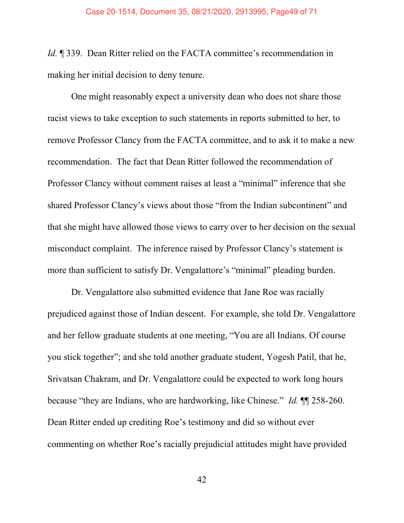Id. ¶ 339. Dean Ritter relied on the FACTA committee's recommendation in making her initial decision to deny tenure.

One might reasonably expect a university dean who does not share those racist views to take exception to such statements in reports submitted to her, to remove Professor Clancy from the FACTA committee, and to ask it to make a new recommendation. The fact that Dean Ritter followed the recommendation of Professor Clancy without comment raises at least a "minimal" inference that she shared Professor Clancy's views about those "from the Indian subcontinent" and that she might have allowed those views to carry over to her decision on the sexual misconduct complaint. The inference raised by Professor Clancy's statement is more than sufficient to satisfy Dr. Vengalattore's "minimal" pleading burden.

Dr. Vengalattore also submitted evidence that Jane Roe was racially prejudiced against those of Indian descent. For example, she told Dr. Vengalattore and her fellow graduate students at one meeting, "You are all Indians. Of course you stick togetherî; and she told another graduate student, Yogesh Patil, that he, Srivatsan Chakram, and Dr. Vengalattore could be expected to work long hours because "they are Indians, who are hardworking, like Chinese." Id.  $\P$  158-260. Dean Ritter ended up crediting Roe's testimony and did so without ever commenting on whether Roe's racially prejudicial attitudes might have provided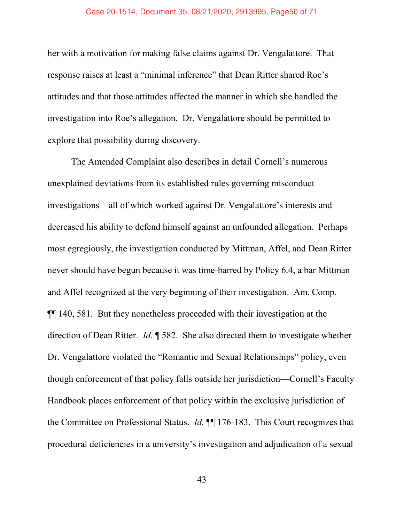#### Case 20-1514, Document 35, 08/21/2020, 2913995, Page50 of 71

her with a motivation for making false claims against Dr. Vengalattore. That response raises at least a "minimal inference" that Dean Ritter shared Roe's attitudes and that those attitudes affected the manner in which she handled the investigation into Roe's allegation. Dr. Vengalattore should be permitted to explore that possibility during discovery.

The Amended Complaint also describes in detail Cornell's numerous unexplained deviations from its established rules governing misconduct investigations—all of which worked against Dr. Vengalattore's interests and decreased his ability to defend himself against an unfounded allegation. Perhaps most egregiously, the investigation conducted by Mittman, Affel, and Dean Ritter never should have begun because it was time-barred by Policy 6.4, a bar Mittman and Affel recognized at the very beginning of their investigation. Am. Comp. ¶¶ 140, 581. But they nonetheless proceeded with their investigation at the direction of Dean Ritter. Id. ¶ 582. She also directed them to investigate whether Dr. Vengalattore violated the "Romantic and Sexual Relationships" policy, even though enforcement of that policy falls outside her jurisdiction—Cornell's Faculty Handbook places enforcement of that policy within the exclusive jurisdiction of the Committee on Professional Status. Id. ¶¶ 176-183. This Court recognizes that procedural deficiencies in a university's investigation and adjudication of a sexual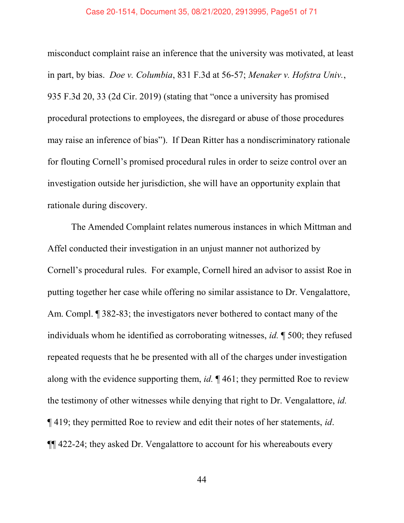#### Case 20-1514, Document 35, 08/21/2020, 2913995, Page51 of 71

misconduct complaint raise an inference that the university was motivated, at least in part, by bias. Doe v. Columbia, 831 F.3d at 56-57; Menaker v. Hofstra Univ., 935 F.3d 20, 33 (2d Cir. 2019) (stating that "once a university has promised procedural protections to employees, the disregard or abuse of those procedures may raise an inference of bias"). If Dean Ritter has a nondiscriminatory rationale for flouting Cornell's promised procedural rules in order to seize control over an investigation outside her jurisdiction, she will have an opportunity explain that rationale during discovery.

The Amended Complaint relates numerous instances in which Mittman and Affel conducted their investigation in an unjust manner not authorized by Cornell's procedural rules. For example, Cornell hired an advisor to assist Roe in putting together her case while offering no similar assistance to Dr. Vengalattore, Am. Compl. *[382-83*; the investigators never bothered to contact many of the individuals whom he identified as corroborating witnesses, id. ¶ 500; they refused repeated requests that he be presented with all of the charges under investigation along with the evidence supporting them, *id.*  $\P$  461; they permitted Roe to review the testimony of other witnesses while denying that right to Dr. Vengalattore, id. ¶ 419; they permitted Roe to review and edit their notes of her statements, id. ¶¶ 422-24; they asked Dr. Vengalattore to account for his whereabouts every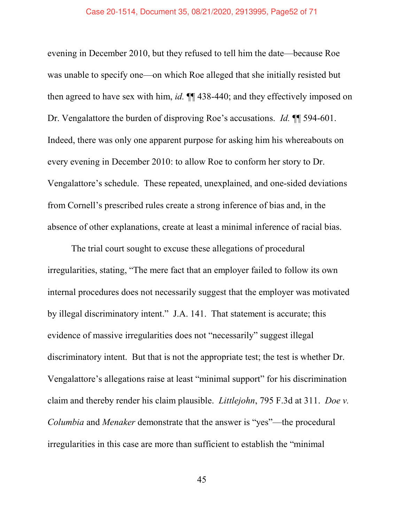evening in December 2010, but they refused to tell him the date—because Roe was unable to specify one—on which Roe alleged that she initially resisted but then agreed to have sex with him, *id*.  $\P$  438-440; and they effectively imposed on Dr. Vengalattore the burden of disproving Roe's accusations. Id.  $\P$  594-601. Indeed, there was only one apparent purpose for asking him his whereabouts on every evening in December 2010: to allow Roe to conform her story to Dr. Vengalattore's schedule. These repeated, unexplained, and one-sided deviations from Cornell's prescribed rules create a strong inference of bias and, in the absence of other explanations, create at least a minimal inference of racial bias.

The trial court sought to excuse these allegations of procedural irregularities, stating, "The mere fact that an employer failed to follow its own internal procedures does not necessarily suggest that the employer was motivated by illegal discriminatory intent." J.A. 141. That statement is accurate; this evidence of massive irregularities does not "necessarily" suggest illegal discriminatory intent. But that is not the appropriate test; the test is whether Dr. Vengalattore's allegations raise at least "minimal support" for his discrimination claim and thereby render his claim plausible. Littlejohn, 795 F.3d at 311. Doe v. Columbia and Menaker demonstrate that the answer is "yes"—the procedural irregularities in this case are more than sufficient to establish the "minimal"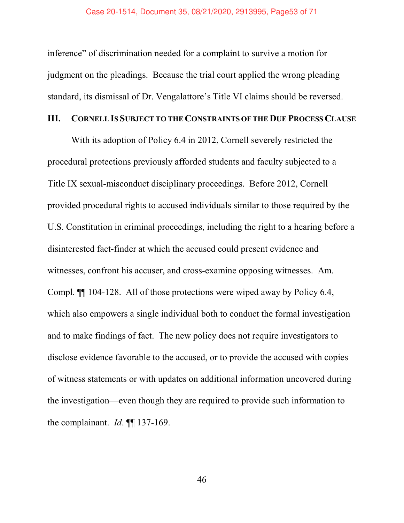inference" of discrimination needed for a complaint to survive a motion for judgment on the pleadings. Because the trial court applied the wrong pleading standard, its dismissal of Dr. Vengalattore's Title VI claims should be reversed.

## III. CORNELL IS SUBJECT TO THE CONSTRAINTS OF THE DUE PROCESS CLAUSE

With its adoption of Policy 6.4 in 2012, Cornell severely restricted the procedural protections previously afforded students and faculty subjected to a Title IX sexual-misconduct disciplinary proceedings. Before 2012, Cornell provided procedural rights to accused individuals similar to those required by the U.S. Constitution in criminal proceedings, including the right to a hearing before a disinterested fact-finder at which the accused could present evidence and witnesses, confront his accuser, and cross-examine opposing witnesses. Am. Compl. ¶¶ 104-128. All of those protections were wiped away by Policy 6.4, which also empowers a single individual both to conduct the formal investigation and to make findings of fact. The new policy does not require investigators to disclose evidence favorable to the accused, or to provide the accused with copies of witness statements or with updates on additional information uncovered during the investigation—even though they are required to provide such information to the complainant. *Id.* ¶[ 137-169.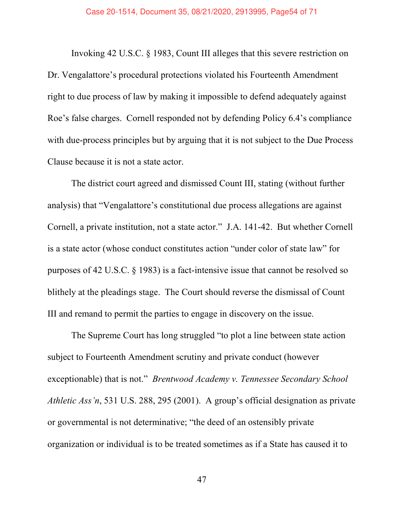Invoking 42 U.S.C. ß 1983, Count III alleges that this severe restriction on Dr. Vengalattore's procedural protections violated his Fourteenth Amendment right to due process of law by making it impossible to defend adequately against Roe's false charges. Cornell responded not by defending Policy 6.4's compliance with due-process principles but by arguing that it is not subject to the Due Process Clause because it is not a state actor.

The district court agreed and dismissed Count III, stating (without further analysis) that "Vengalattore's constitutional due process allegations are against Cornell, a private institution, not a state actor." J.A. 141-42. But whether Cornell is a state actor (whose conduct constitutes action "under color of state law" for purposes of 42 U.S.C. ß 1983) is a fact-intensive issue that cannot be resolved so blithely at the pleadings stage. The Court should reverse the dismissal of Count III and remand to permit the parties to engage in discovery on the issue.

The Supreme Court has long struggled "to plot a line between state action subject to Fourteenth Amendment scrutiny and private conduct (however exceptionable) that is not." Brentwood Academy v. Tennessee Secondary School Athletic Ass'n, 531 U.S. 288, 295 (2001). A group's official designation as private or governmental is not determinative; "the deed of an ostensibly private organization or individual is to be treated sometimes as if a State has caused it to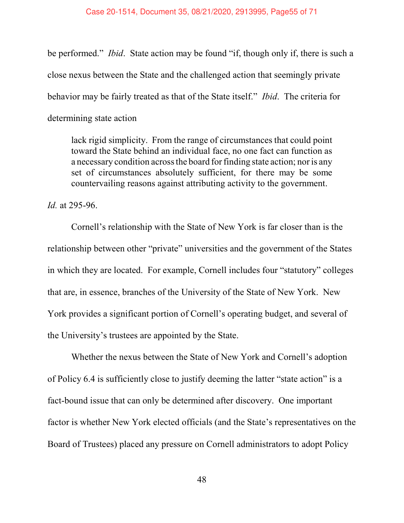be performed." *Ibid.* State action may be found "if, though only if, there is such a close nexus between the State and the challenged action that seemingly private behavior may be fairly treated as that of the State itself." *Ibid*. The criteria for determining state action

lack rigid simplicity. From the range of circumstances that could point toward the State behind an individual face, no one fact can function as a necessary condition across the board for finding state action; nor is any set of circumstances absolutely sufficient, for there may be some countervailing reasons against attributing activity to the government.

Id. at 295-96.

Cornell's relationship with the State of New York is far closer than is the relationship between other "private" universities and the government of the States in which they are located. For example, Cornell includes four "statutory" colleges that are, in essence, branches of the University of the State of New York. New York provides a significant portion of Cornell's operating budget, and several of the University's trustees are appointed by the State.

Whether the nexus between the State of New York and Cornell's adoption of Policy 6.4 is sufficiently close to justify deeming the latter "state action" is a fact-bound issue that can only be determined after discovery. One important factor is whether New York elected officials (and the State's representatives on the Board of Trustees) placed any pressure on Cornell administrators to adopt Policy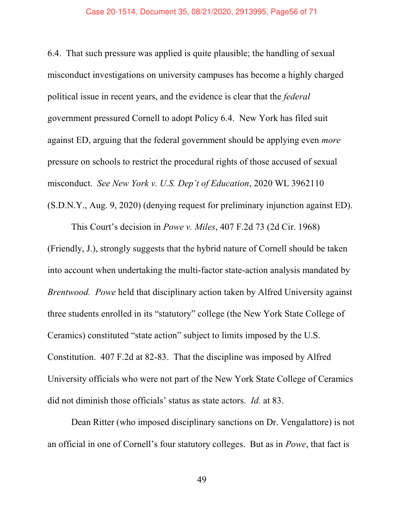#### Case 20-1514, Document 35, 08/21/2020, 2913995, Page56 of 71

6.4. That such pressure was applied is quite plausible; the handling of sexual misconduct investigations on university campuses has become a highly charged political issue in recent years, and the evidence is clear that the federal government pressured Cornell to adopt Policy 6.4. New York has filed suit against ED, arguing that the federal government should be applying even more pressure on schools to restrict the procedural rights of those accused of sexual misconduct. See New York v. U.S. Dep't of Education, 2020 WL 3962110 (S.D.N.Y., Aug. 9, 2020) (denying request for preliminary injunction against ED).

This Court's decision in *Powe v. Miles*, 407 F.2d 73 (2d Cir. 1968) (Friendly, J.), strongly suggests that the hybrid nature of Cornell should be taken into account when undertaking the multi-factor state-action analysis mandated by Brentwood. Powe held that disciplinary action taken by Alfred University against three students enrolled in its "statutory" college (the New York State College of Ceramics) constituted "state action" subject to limits imposed by the U.S. Constitution. 407 F.2d at 82-83. That the discipline was imposed by Alfred University officials who were not part of the New York State College of Ceramics did not diminish those officials' status as state actors. *Id.* at 83.

Dean Ritter (who imposed disciplinary sanctions on Dr. Vengalattore) is not an official in one of Cornell's four statutory colleges. But as in Powe, that fact is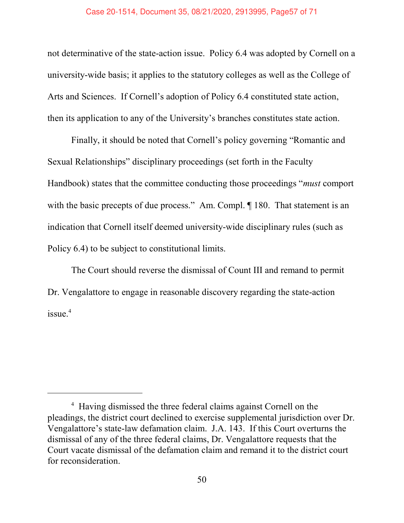## Case 20-1514, Document 35, 08/21/2020, 2913995, Page57 of 71

not determinative of the state-action issue. Policy 6.4 was adopted by Cornell on a university-wide basis; it applies to the statutory colleges as well as the College of Arts and Sciences. If Cornell's adoption of Policy 6.4 constituted state action, then its application to any of the University's branches constitutes state action.

Finally, it should be noted that Cornell's policy governing "Romantic and Sexual Relationships" disciplinary proceedings (set forth in the Faculty Handbook) states that the committee conducting those proceedings "*must* comport with the basic precepts of due process." Am. Compl.  $\P$  180. That statement is an indication that Cornell itself deemed university-wide disciplinary rules (such as Policy 6.4) to be subject to constitutional limits.

The Court should reverse the dismissal of Count III and remand to permit Dr. Vengalattore to engage in reasonable discovery regarding the state-action issue.<sup>4</sup>

<sup>&</sup>lt;sup>4</sup> Having dismissed the three federal claims against Cornell on the pleadings, the district court declined to exercise supplemental jurisdiction over Dr. Vengalattore's state-law defamation claim. J.A. 143. If this Court overturns the dismissal of any of the three federal claims, Dr. Vengalattore requests that the Court vacate dismissal of the defamation claim and remand it to the district court for reconsideration.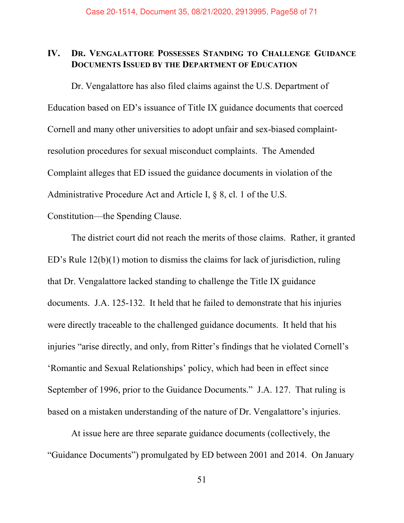# IV. DR. VENGALATTORE POSSESSES STANDING TO CHALLENGE GUIDANCE DOCUMENTS ISSUED BY THE DEPARTMENT OF EDUCATION

Dr. Vengalattore has also filed claims against the U.S. Department of Education based on ED's issuance of Title IX guidance documents that coerced Cornell and many other universities to adopt unfair and sex-biased complaintresolution procedures for sexual misconduct complaints. The Amended Complaint alleges that ED issued the guidance documents in violation of the Administrative Procedure Act and Article I, ß 8, cl. 1 of the U.S.

Constitution—the Spending Clause.

The district court did not reach the merits of those claims. Rather, it granted ED's Rule  $12(b)(1)$  motion to dismiss the claims for lack of jurisdiction, ruling that Dr. Vengalattore lacked standing to challenge the Title IX guidance documents. J.A. 125-132. It held that he failed to demonstrate that his injuries were directly traceable to the challenged guidance documents. It held that his injuries "arise directly, and only, from Ritter's findings that he violated Cornell's 'Romantic and Sexual Relationships' policy, which had been in effect since September of 1996, prior to the Guidance Documents." J.A. 127. That ruling is based on a mistaken understanding of the nature of Dr. Vengalattore's injuries.

At issue here are three separate guidance documents (collectively, the ìGuidance Documentsî) promulgated by ED between 2001 and 2014. On January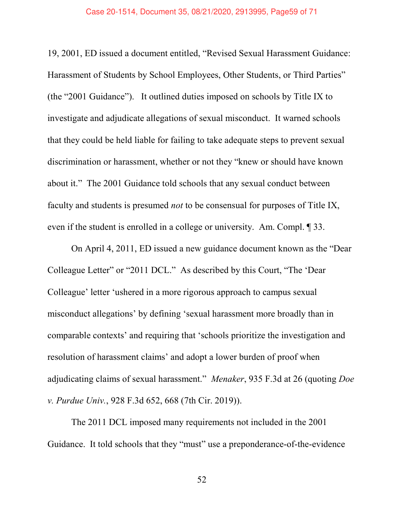#### Case 20-1514, Document 35, 08/21/2020, 2913995, Page59 of 71

19, 2001, ED issued a document entitled, "Revised Sexual Harassment Guidance: Harassment of Students by School Employees, Other Students, or Third Parties" (the  $"2001$  Guidance"). It outlined duties imposed on schools by Title IX to investigate and adjudicate allegations of sexual misconduct. It warned schools that they could be held liable for failing to take adequate steps to prevent sexual discrimination or harassment, whether or not they "knew or should have known about it." The 2001 Guidance told schools that any sexual conduct between faculty and students is presumed *not* to be consensual for purposes of Title IX, even if the student is enrolled in a college or university. Am. Compl. ¶ 33.

On April 4, 2011, ED issued a new guidance document known as the "Dear" Colleague Letter" or "2011 DCL." As described by this Court, "The 'Dear Colleague' letter 'ushered in a more rigorous approach to campus sexual misconduct allegations' by defining 'sexual harassment more broadly than in comparable contexts' and requiring that 'schools prioritize the investigation and resolution of harassment claims' and adopt a lower burden of proof when adjudicating claims of sexual harassment." Menaker, 935 F.3d at 26 (quoting *Doe* v. Purdue Univ., 928 F.3d 652, 668 (7th Cir. 2019)).

The 2011 DCL imposed many requirements not included in the 2001 Guidance. It told schools that they "must" use a preponderance-of-the-evidence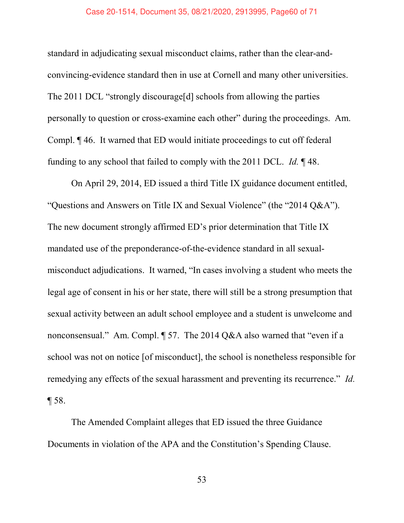#### Case 20-1514, Document 35, 08/21/2020, 2913995, Page60 of 71

standard in adjudicating sexual misconduct claims, rather than the clear-andconvincing-evidence standard then in use at Cornell and many other universities. The 2011 DCL "strongly discourage[d] schools from allowing the parties personally to question or cross-examine each other" during the proceedings. Am. Compl. ¶ 46. It warned that ED would initiate proceedings to cut off federal funding to any school that failed to comply with the 2011 DCL. Id. ¶ 48.

On April 29, 2014, ED issued a third Title IX guidance document entitled, "Questions and Answers on Title IX and Sexual Violence" (the "2014 Q&A"). The new document strongly affirmed ED's prior determination that Title IX mandated use of the preponderance-of-the-evidence standard in all sexualmisconduct adjudications. It warned, "In cases involving a student who meets the legal age of consent in his or her state, there will still be a strong presumption that sexual activity between an adult school employee and a student is unwelcome and nonconsensual." Am. Compl.  $\P$  57. The 2014 Q&A also warned that "even if a school was not on notice [of misconduct], the school is nonetheless responsible for remedying any effects of the sexual harassment and preventing its recurrence." Id. ¶ 58.

The Amended Complaint alleges that ED issued the three Guidance Documents in violation of the APA and the Constitution's Spending Clause.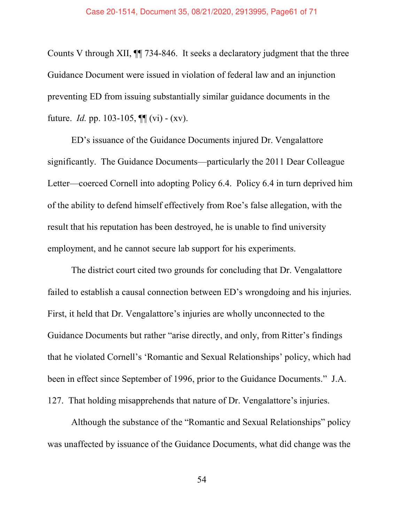Counts V through XII, ¶¶ 734-846. It seeks a declaratory judgment that the three Guidance Document were issued in violation of federal law and an injunction preventing ED from issuing substantially similar guidance documents in the future. *Id.* pp. 103-105,  $\P\P$  (vi) - (xv).

ED's issuance of the Guidance Documents injured Dr. Vengalattore significantly. The Guidance Documents—particularly the 2011 Dear Colleague Letter—coerced Cornell into adopting Policy 6.4. Policy 6.4 in turn deprived him of the ability to defend himself effectively from Roe's false allegation, with the result that his reputation has been destroyed, he is unable to find university employment, and he cannot secure lab support for his experiments.

The district court cited two grounds for concluding that Dr. Vengalattore failed to establish a causal connection between ED's wrongdoing and his injuries. First, it held that Dr. Vengalattore's injuries are wholly unconnected to the Guidance Documents but rather "arise directly, and only, from Ritter's findings that he violated Cornell's 'Romantic and Sexual Relationships' policy, which had been in effect since September of 1996, prior to the Guidance Documents." J.A. 127. That holding misapprehends that nature of Dr. Vengalattore's injuries.

Although the substance of the "Romantic and Sexual Relationships" policy was unaffected by issuance of the Guidance Documents, what did change was the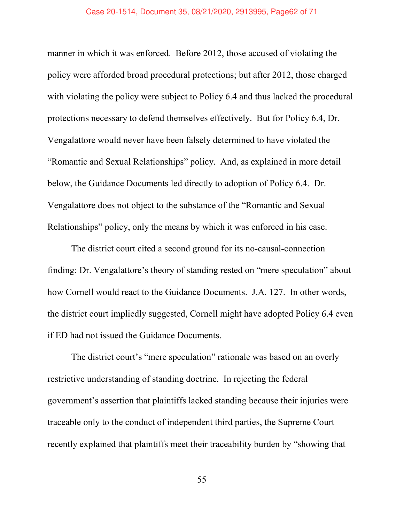#### Case 20-1514, Document 35, 08/21/2020, 2913995, Page62 of 71

manner in which it was enforced. Before 2012, those accused of violating the policy were afforded broad procedural protections; but after 2012, those charged with violating the policy were subject to Policy 6.4 and thus lacked the procedural protections necessary to defend themselves effectively. But for Policy 6.4, Dr. Vengalattore would never have been falsely determined to have violated the "Romantic and Sexual Relationships" policy. And, as explained in more detail below, the Guidance Documents led directly to adoption of Policy 6.4. Dr. Vengalattore does not object to the substance of the "Romantic and Sexual" Relationships" policy, only the means by which it was enforced in his case.

The district court cited a second ground for its no-causal-connection finding: Dr. Vengalattore's theory of standing rested on "mere speculation" about how Cornell would react to the Guidance Documents. J.A. 127. In other words, the district court impliedly suggested, Cornell might have adopted Policy 6.4 even if ED had not issued the Guidance Documents.

The district court's "mere speculation" rationale was based on an overly restrictive understanding of standing doctrine. In rejecting the federal government's assertion that plaintiffs lacked standing because their injuries were traceable only to the conduct of independent third parties, the Supreme Court recently explained that plaintiffs meet their traceability burden by "showing that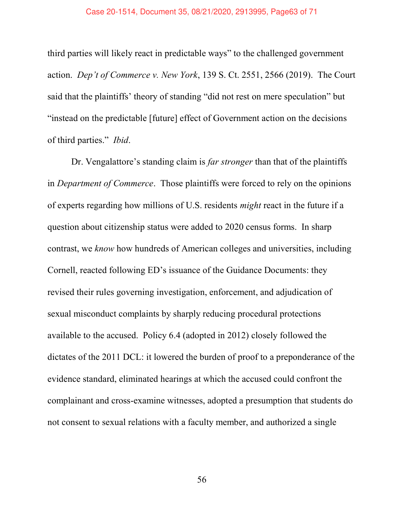third parties will likely react in predictable ways" to the challenged government action. Dep't of Commerce v. New York, 139 S. Ct. 2551, 2566 (2019). The Court said that the plaintiffs' theory of standing "did not rest on mere speculation" but "instead on the predictable [future] effect of Government action on the decisions of third parties." Ibid.

Dr. Vengalattore's standing claim is *far stronger* than that of the plaintiffs in Department of Commerce. Those plaintiffs were forced to rely on the opinions of experts regarding how millions of U.S. residents might react in the future if a question about citizenship status were added to 2020 census forms. In sharp contrast, we know how hundreds of American colleges and universities, including Cornell, reacted following ED's issuance of the Guidance Documents: they revised their rules governing investigation, enforcement, and adjudication of sexual misconduct complaints by sharply reducing procedural protections available to the accused. Policy 6.4 (adopted in 2012) closely followed the dictates of the 2011 DCL: it lowered the burden of proof to a preponderance of the evidence standard, eliminated hearings at which the accused could confront the complainant and cross-examine witnesses, adopted a presumption that students do not consent to sexual relations with a faculty member, and authorized a single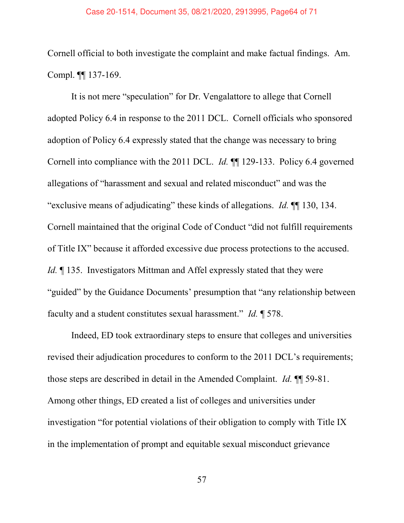## Case 20-1514, Document 35, 08/21/2020, 2913995, Page64 of 71

Cornell official to both investigate the complaint and make factual findings. Am. Compl. ¶¶ 137-169.

It is not mere "speculation" for Dr. Vengalattore to allege that Cornell adopted Policy 6.4 in response to the 2011 DCL. Cornell officials who sponsored adoption of Policy 6.4 expressly stated that the change was necessary to bring Cornell into compliance with the 2011 DCL. Id. ¶¶ 129-133. Policy 6.4 governed allegations of "harassment and sexual and related misconduct" and was the "exclusive means of adjudicating" these kinds of allegations. Id.  $\P$  130, 134. Cornell maintained that the original Code of Conduct "did not fulfill requirements of Title IX" because it afforded excessive due process protections to the accused. Id. ¶ 135. Investigators Mittman and Affel expressly stated that they were "guided" by the Guidance Documents' presumption that "any relationship between faculty and a student constitutes sexual harassment." Id.  $\llbracket$  578.

Indeed, ED took extraordinary steps to ensure that colleges and universities revised their adjudication procedures to conform to the 2011 DCL's requirements; those steps are described in detail in the Amended Complaint. *Id.*  $\P$  59-81. Among other things, ED created a list of colleges and universities under investigation "for potential violations of their obligation to comply with Title IX in the implementation of prompt and equitable sexual misconduct grievance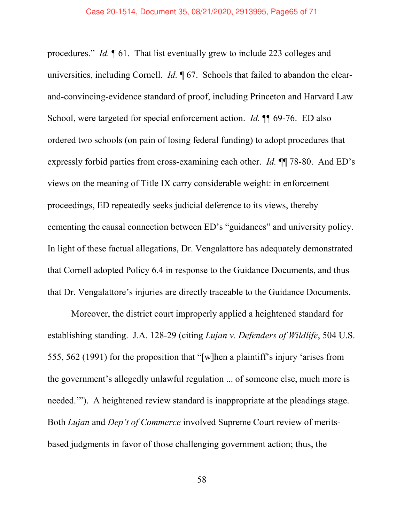procedures." Id. ¶ 61. That list eventually grew to include 223 colleges and universities, including Cornell. *Id.*  $\phi$  67. Schools that failed to abandon the clearand-convincing-evidence standard of proof, including Princeton and Harvard Law School, were targeted for special enforcement action. *Id.* ¶ 69-76. ED also ordered two schools (on pain of losing federal funding) to adopt procedures that expressly forbid parties from cross-examining each other. *Id.* ¶ 78-80. And ED's views on the meaning of Title IX carry considerable weight: in enforcement proceedings, ED repeatedly seeks judicial deference to its views, thereby cementing the causal connection between ED's "guidances" and university policy. In light of these factual allegations, Dr. Vengalattore has adequately demonstrated that Cornell adopted Policy 6.4 in response to the Guidance Documents, and thus that Dr. Vengalattore's injuries are directly traceable to the Guidance Documents.

Moreover, the district court improperly applied a heightened standard for establishing standing. J.A. 128-29 (citing Lujan v. Defenders of Wildlife, 504 U.S. 555, 562 (1991) for the proposition that "[w]hen a plaintiff's injury 'arises from the government's allegedly unlawful regulation ... of someone else, much more is needed."). A heightened review standard is inappropriate at the pleadings stage. Both Lujan and Dep't of Commerce involved Supreme Court review of meritsbased judgments in favor of those challenging government action; thus, the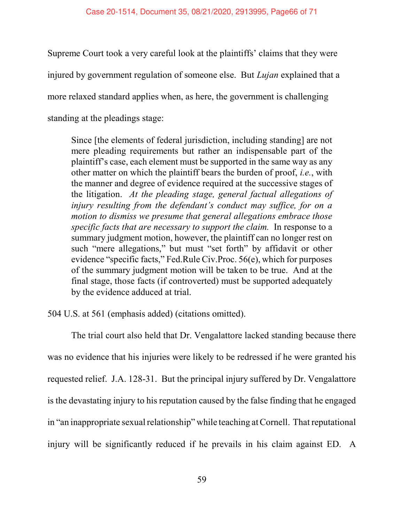Supreme Court took a very careful look at the plaintiffs' claims that they were injured by government regulation of someone else. But *Lujan* explained that a more relaxed standard applies when, as here, the government is challenging standing at the pleadings stage:

Since [the elements of federal jurisdiction, including standing] are not mere pleading requirements but rather an indispensable part of the plaintiff's case, each element must be supported in the same way as any other matter on which the plaintiff bears the burden of proof, i.e., with the manner and degree of evidence required at the successive stages of the litigation. At the pleading stage, general factual allegations of injury resulting from the defendant's conduct may suffice, for on a motion to dismiss we presume that general allegations embrace those specific facts that are necessary to support the claim. In response to a summary judgment motion, however, the plaintiff can no longer rest on such "mere allegations," but must "set forth" by affidavit or other evidence "specific facts," Fed.Rule Civ.Proc.  $56(e)$ , which for purposes of the summary judgment motion will be taken to be true. And at the final stage, those facts (if controverted) must be supported adequately by the evidence adduced at trial.

504 U.S. at 561 (emphasis added) (citations omitted).

The trial court also held that Dr. Vengalattore lacked standing because there was no evidence that his injuries were likely to be redressed if he were granted his requested relief. J.A. 128-31. But the principal injury suffered by Dr. Vengalattore is the devastating injury to his reputation caused by the false finding that he engaged in "an inappropriate sexual relationship" while teaching at Cornell. That reputational injury will be significantly reduced if he prevails in his claim against ED. A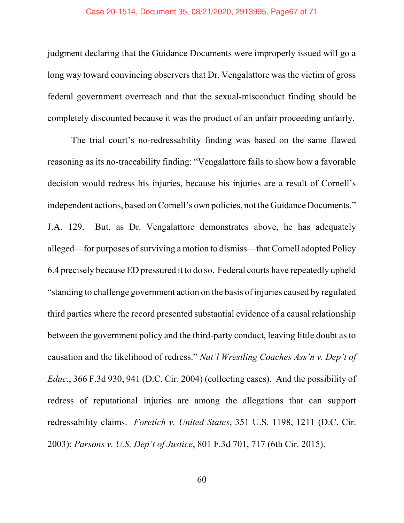#### Case 20-1514, Document 35, 08/21/2020, 2913995, Page67 of 71

judgment declaring that the Guidance Documents were improperly issued will go a long way toward convincing observers that Dr. Vengalattore was the victim of gross federal government overreach and that the sexual-misconduct finding should be completely discounted because it was the product of an unfair proceeding unfairly.

The trial court's no-redressability finding was based on the same flawed reasoning as its no-traceability finding: "Vengalattore fails to show how a favorable decision would redress his injuries, because his injuries are a result of Cornell's independent actions, based on Cornell's own policies, not the Guidance Documents." J.A. 129. But, as Dr. Vengalattore demonstrates above, he has adequately alleged—for purposes of surviving a motion to dismiss—that Cornell adopted Policy 6.4 precisely because ED pressured it to do so. Federal courts have repeatedly upheld ìstanding to challenge government action on the basis of injuries caused by regulated third parties where the record presented substantial evidence of a causal relationship between the government policy and the third-party conduct, leaving little doubt as to causation and the likelihood of redress." Nat'l Wrestling Coaches Ass'n v. Dep't of Educ., 366 F.3d 930, 941 (D.C. Cir. 2004) (collecting cases). And the possibility of redress of reputational injuries are among the allegations that can support redressability claims. Foretich v. United States, 351 U.S. 1198, 1211 (D.C. Cir. 2003); Parsons v. U.S. Dep't of Justice, 801 F.3d 701, 717 (6th Cir. 2015).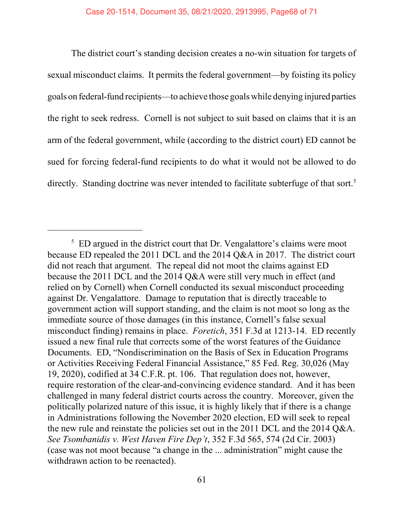The district court's standing decision creates a no-win situation for targets of sexual misconduct claims. It permits the federal government—by foisting its policy goals on federal-fund recipients—to achieve those goals while denying injured parties the right to seek redress. Cornell is not subject to suit based on claims that it is an arm of the federal government, while (according to the district court) ED cannot be sued for forcing federal-fund recipients to do what it would not be allowed to do directly. Standing doctrine was never intended to facilitate subterfuge of that sort.<sup>5</sup>

 $5$  ED argued in the district court that Dr. Vengalattore's claims were moot because ED repealed the 2011 DCL and the 2014 Q&A in 2017. The district court did not reach that argument. The repeal did not moot the claims against ED because the 2011 DCL and the 2014 Q&A were still very much in effect (and relied on by Cornell) when Cornell conducted its sexual misconduct proceeding against Dr. Vengalattore. Damage to reputation that is directly traceable to government action will support standing, and the claim is not moot so long as the immediate source of those damages (in this instance, Cornell's false sexual misconduct finding) remains in place. Foretich, 351 F.3d at 1213-14. ED recently issued a new final rule that corrects some of the worst features of the Guidance Documents. ED, "Nondiscrimination on the Basis of Sex in Education Programs or Activities Receiving Federal Financial Assistance," 85 Fed. Reg. 30,026 (May 19, 2020), codified at 34 C.F.R. pt. 106. That regulation does not, however, require restoration of the clear-and-convincing evidence standard. And it has been challenged in many federal district courts across the country. Moreover, given the politically polarized nature of this issue, it is highly likely that if there is a change in Administrations following the November 2020 election, ED will seek to repeal the new rule and reinstate the policies set out in the 2011 DCL and the 2014 Q&A. See Tsombanidis v. West Haven Fire Dep't, 352 F.3d 565, 574 (2d Cir. 2003) (case was not moot because "a change in the ... administration" might cause the withdrawn action to be reenacted).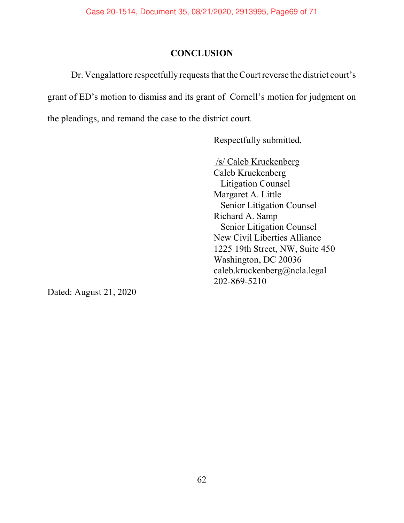# **CONCLUSION**

Dr. Vengalattore respectfully requests that the Court reverse the district court's grant of ED's motion to dismiss and its grant of Cornell's motion for judgment on the pleadings, and remand the case to the district court.

Respectfully submitted,

 /s/ Caleb Kruckenberg Caleb Kruckenberg Litigation Counsel Margaret A. Little Senior Litigation Counsel Richard A. Samp Senior Litigation Counsel New Civil Liberties Alliance 1225 19th Street, NW, Suite 450 Washington, DC 20036 caleb.kruckenberg@ncla.legal 202-869-5210

Dated: August 21, 2020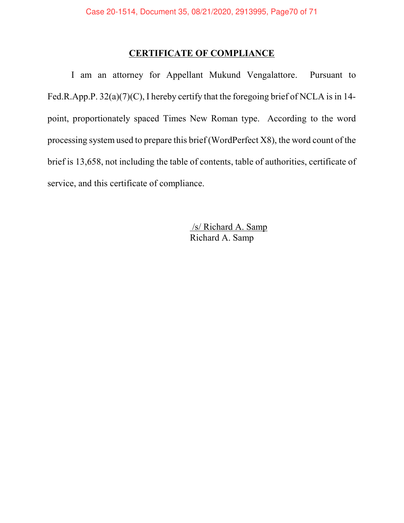# CERTIFICATE OF COMPLIANCE

I am an attorney for Appellant Mukund Vengalattore. Pursuant to Fed.R.App.P. 32(a)(7)(C), I hereby certify that the foregoing brief of NCLA is in 14 point, proportionately spaced Times New Roman type. According to the word processing system used to prepare this brief (WordPerfect X8), the word count of the brief is 13,658, not including the table of contents, table of authorities, certificate of service, and this certificate of compliance.

> /s/ Richard A. Samp Richard A. Samp